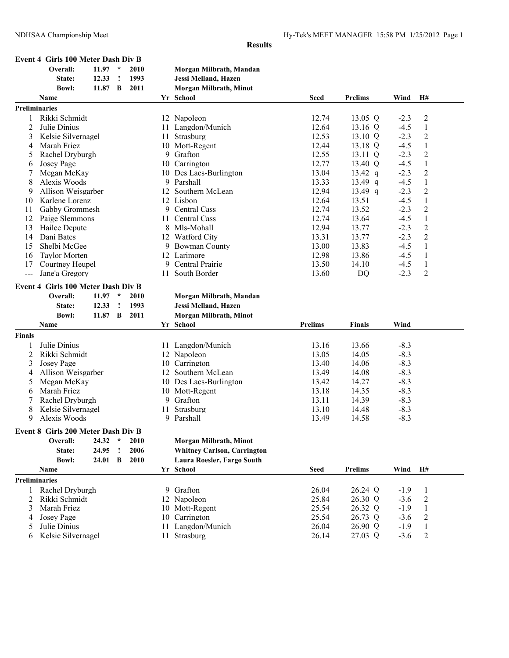| Event 4 Girls 100 Meter Dash Div B |           |       |                         |
|------------------------------------|-----------|-------|-------------------------|
| Overall:                           | $11.97 *$ | -2010 | Morgan Milbrath, Mandan |

|               | State:                             | 12.33     | $\cdot$       | 1993 |     | Jessi Melland, Hazen               |                |                   |        |                  |
|---------------|------------------------------------|-----------|---------------|------|-----|------------------------------------|----------------|-------------------|--------|------------------|
|               | <b>Bowl:</b>                       | 11.87 B   |               | 2011 |     | Morgan Milbrath, Minot             |                |                   |        |                  |
|               | Name                               |           |               |      |     | Yr School                          | <b>Seed</b>    | <b>Prelims</b>    | Wind   | H#               |
|               | Preliminaries                      |           |               |      |     |                                    |                |                   |        |                  |
|               | Rikki Schmidt                      |           |               |      |     | 12 Napoleon                        | 12.74          | 13.05 Q           | $-2.3$ | $\overline{c}$   |
| 2             | Julie Dinius                       |           |               |      |     | 11 Langdon/Munich                  | 12.64          | 13.16 Q           | $-4.5$ | 1                |
| 3             | Kelsie Silvernagel                 |           |               |      |     | 11 Strasburg                       | 12.53          | 13.10 Q           | $-2.3$ | $\overline{2}$   |
| 4             | Marah Friez                        |           |               |      |     | 10 Mott-Regent                     | 12.44          | 13.18 Q           | $-4.5$ | $\,1\,$          |
| 5             | Rachel Dryburgh                    |           |               |      |     | 9 Grafton                          | 12.55          | 13.11 Q           | $-2.3$ | $\overline{c}$   |
| 6             | Josey Page                         |           |               |      |     | 10 Carrington                      | 12.77          | 13.40 Q           | $-4.5$ | $\mathbf{1}$     |
| 7             | Megan McKay                        |           |               |      |     | 10 Des Lacs-Burlington             | 13.04          | $13.42 \text{ q}$ | $-2.3$ | $\boldsymbol{2}$ |
| 8             | Alexis Woods                       |           |               |      |     | 9 Parshall                         | 13.33          | 13.49 q           | $-4.5$ | $\,1\,$          |
| 9             | Allison Weisgarber                 |           |               |      |     | 12 Southern McLean                 | 12.94          | 13.49 $q$         | $-2.3$ | $\boldsymbol{2}$ |
| 10            | Karlene Lorenz                     |           |               |      |     | 12 Lisbon                          | 12.64          | 13.51             | $-4.5$ | $\,1\,$          |
| 11            | Gabby Grommesh                     |           |               |      |     | 9 Central Cass                     | 12.74          | 13.52             | $-2.3$ | $\sqrt{2}$       |
| 12            | Paige Slemmons                     |           |               |      |     | 11 Central Cass                    | 12.74          | 13.64             | $-4.5$ | $\mathbf{1}$     |
| 13            | Hailee Depute                      |           |               |      |     | 8 Mls-Mohall                       | 12.94          | 13.77             | $-2.3$ | $\overline{c}$   |
| 14            | Dani Bates                         |           |               |      |     | 12 Watford City                    | 13.31          | 13.77             | $-2.3$ | $\overline{c}$   |
| 15            | Shelbi McGee                       |           |               |      |     | 9 Bowman County                    | 13.00          | 13.83             | $-4.5$ | $\mathbf{1}$     |
| 16            | <b>Taylor Morten</b>               |           |               |      |     | 12 Larimore                        | 12.98          | 13.86             | $-4.5$ | $\mathbf{1}$     |
| 17            | Courtney Heupel                    |           |               |      |     | 9 Central Prairie                  | 13.50          | 14.10             | $-4.5$ | $\mathbf{1}$     |
| $\frac{1}{2}$ | Jane'a Gregory                     |           |               |      | 11. | South Border                       | 13.60          | DQ                | $-2.3$ | $\overline{2}$   |
|               | Event 4 Girls 100 Meter Dash Div B |           |               |      |     |                                    |                |                   |        |                  |
|               |                                    |           |               |      |     |                                    |                |                   |        |                  |
|               | Overall:                           | $11.97$ * |               | 2010 |     | Morgan Milbrath, Mandan            |                |                   |        |                  |
|               | State:                             | 12.33     | $\mathbf{I}$  | 1993 |     | Jessi Melland, Hazen               |                |                   |        |                  |
|               | <b>Bowl:</b>                       | 11.87 B   |               | 2011 |     | Morgan Milbrath, Minot             |                |                   |        |                  |
|               | Name                               |           |               |      |     | Yr School                          | <b>Prelims</b> | <b>Finals</b>     | Wind   |                  |
| Finals        |                                    |           |               |      |     |                                    |                |                   |        |                  |
| 1             | Julie Dinius                       |           |               |      |     | 11 Langdon/Munich                  | 13.16          | 13.66             | $-8.3$ |                  |
| 2             | Rikki Schmidt                      |           |               |      |     | 12 Napoleon                        | 13.05          | 14.05             | $-8.3$ |                  |
| 3             | Josey Page                         |           |               |      |     | 10 Carrington                      | 13.40          | 14.06             | $-8.3$ |                  |
| 4             | Allison Weisgarber                 |           |               |      |     | 12 Southern McLean                 | 13.49          | 14.08             | $-8.3$ |                  |
| 5             | Megan McKay                        |           |               |      |     | 10 Des Lacs-Burlington             | 13.42          | 14.27             | $-8.3$ |                  |
| 6             | Marah Friez                        |           |               |      |     | 10 Mott-Regent                     | 13.18          | 14.35             | $-8.3$ |                  |
| 7             | Rachel Dryburgh                    |           |               |      |     | 9 Grafton                          | 13.11          | 14.39             | $-8.3$ |                  |
| 8             | Kelsie Silvernagel                 |           |               |      |     | 11 Strasburg                       | 13.10          | 14.48             | $-8.3$ |                  |
| 9             | Alexis Woods                       |           |               |      |     | 9 Parshall                         | 13.49          | 14.58             | $-8.3$ |                  |
|               | Event 8 Girls 200 Meter Dash Div B |           |               |      |     |                                    |                |                   |        |                  |
|               | Overall:                           | 24.32     | $\mathcal{R}$ | 2010 |     | <b>Morgan Milbrath, Minot</b>      |                |                   |        |                  |
|               | State:                             | 24.95     | <u>!</u>      | 2006 |     | <b>Whitney Carlson, Carrington</b> |                |                   |        |                  |
|               | <b>Bowl:</b>                       | 24.01     | B             | 2010 |     | Laura Roesler, Fargo South         |                |                   |        |                  |
|               | Name                               |           |               |      |     | Yr School                          | <b>Seed</b>    | <b>Prelims</b>    | Wind   | H#               |
|               | Preliminaries                      |           |               |      |     |                                    |                |                   |        |                  |
| 1             | Rachel Dryburgh                    |           |               |      |     | 9 Grafton                          | 26.04          | 26.24 Q           | $-1.9$ | $\mathbf{1}$     |
| 2             | Rikki Schmidt                      |           |               |      | 12  | Napoleon                           | 25.84          | 26.30 Q           | $-3.6$ | $\overline{c}$   |
| 3             | Marah Friez                        |           |               |      |     | 10 Mott-Regent                     | 25.54          | 26.32 Q           | $-1.9$ | $\mathbf{1}$     |
| 4             | Josey Page                         |           |               |      |     | 10 Carrington                      | 25.54          | 26.73 Q           | $-3.6$ | $\overline{c}$   |
| 5             | Julie Dinius                       |           |               |      |     | 11 Langdon/Munich                  | 26.04          | 26.90 Q           | $-1.9$ | 1                |
| 6             | Kelsie Silvernagel                 |           |               |      |     | 11 Strasburg                       | 26.14          | 27.03 Q           | $-3.6$ | $\mathbf{2}$     |
|               |                                    |           |               |      |     |                                    |                |                   |        |                  |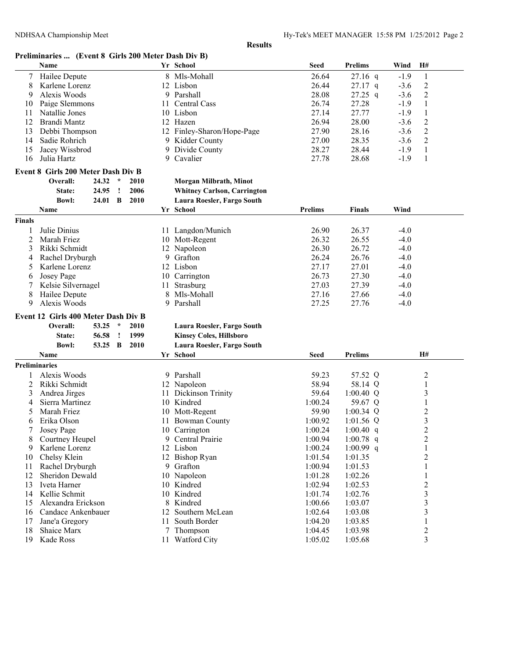## **Preliminaries ... (Event 8 Girls 200 Meter Dash Div B)**

|                      | Name                                |       |         |            |       | Yr School                          | <b>Seed</b>    | <b>Prelims</b> | Wind   | H#             |
|----------------------|-------------------------------------|-------|---------|------------|-------|------------------------------------|----------------|----------------|--------|----------------|
| 7                    | Hailee Depute                       |       |         |            |       | 8 Mls-Mohall                       | 26.64          | $27.16$ q      | $-1.9$ | 1              |
| 8                    | Karlene Lorenz                      |       |         |            |       | 12 Lisbon                          | 26.44          | $27.17$ q      | $-3.6$ | $\sqrt{2}$     |
| 9                    | Alexis Woods                        |       |         |            |       | 9 Parshall                         | 28.08          | $27.25$ q      | $-3.6$ | $\sqrt{2}$     |
| 10                   | Paige Slemmons                      |       |         |            | 11    | Central Cass                       | 26.74          | 27.28          | $-1.9$ | $\mathbf{1}$   |
| 11                   | Natallie Jones                      |       |         |            |       | 10 Lisbon                          | 27.14          | 27.77          | $-1.9$ | $\mathbf{1}$   |
| 12                   | Brandi Mantz                        |       |         |            |       | 12 Hazen                           | 26.94          | 28.00          | $-3.6$ | $\overline{c}$ |
| 13                   | Debbi Thompson                      |       |         |            |       | 12 Finley-Sharon/Hope-Page         | 27.90          | 28.16          | $-3.6$ | $\overline{c}$ |
| 14                   | Sadie Rohrich                       |       |         |            |       | 9 Kidder County                    | 27.00          | 28.35          | $-3.6$ | $\overline{c}$ |
| 15                   | Jacey Wissbrod                      |       |         |            |       | 9 Divide County                    | 28.27          | 28.44          | $-1.9$ | $\mathbf{1}$   |
| 16                   | Julia Hartz                         |       |         |            |       | 9 Cavalier                         | 27.78          | 28.68          | $-1.9$ | 1              |
|                      | Event 8 Girls 200 Meter Dash Div B  |       |         |            |       |                                    |                |                |        |                |
|                      | Overall:                            | 24.32 | $\star$ | 2010       |       | Morgan Milbrath, Minot             |                |                |        |                |
|                      | State:                              | 24.95 | Ţ       | 2006       |       | <b>Whitney Carlson, Carrington</b> |                |                |        |                |
|                      | <b>Bowl:</b>                        |       |         | 2010       |       |                                    |                |                |        |                |
|                      |                                     | 24.01 | B       |            |       | Laura Roesler, Fargo South         |                |                |        |                |
|                      | Name                                |       |         |            |       | Yr School                          | <b>Prelims</b> | <b>Finals</b>  | Wind   |                |
| <b>Finals</b>        |                                     |       |         |            |       |                                    |                |                |        |                |
| 1                    | Julie Dinius                        |       |         |            |       | 11 Langdon/Munich                  | 26.90          | 26.37          | $-4.0$ |                |
| $\overline{c}$       | Marah Friez                         |       |         |            |       | 10 Mott-Regent                     | 26.32          | 26.55          | $-4.0$ |                |
| 3                    | Rikki Schmidt                       |       |         |            | 12    | Napoleon                           | 26.30          | 26.72          | $-4.0$ |                |
| 4                    | Rachel Dryburgh                     |       |         |            |       | 9 Grafton                          | 26.24          | 26.76          | $-4.0$ |                |
| 5                    | Karlene Lorenz                      |       |         |            |       | 12 Lisbon                          | 27.17          | 27.01          | $-4.0$ |                |
| 6                    | Josey Page                          |       |         |            |       | 10 Carrington                      | 26.73          | 27.30          | $-4.0$ |                |
| 7                    | Kelsie Silvernagel                  |       | 11      | Strasburg  | 27.03 | 27.39                              | $-4.0$         |                |        |                |
| 8                    | Hailee Depute                       |       |         |            | 8     | Mls-Mohall                         | 27.16          | 27.66          | $-4.0$ |                |
| 9                    | Alexis Woods                        |       |         | 9 Parshall | 27.25 | 27.76                              | $-4.0$         |                |        |                |
|                      | Event 12 Girls 400 Meter Dash Div B |       |         |            |       |                                    |                |                |        |                |
|                      | Overall:                            | 53.25 | $\star$ | 2010       |       | Laura Roesler, Fargo South         |                |                |        |                |
|                      | State:                              | 56.58 | ÷       | 1999       |       | <b>Kinsey Coles, Hillsboro</b>     |                |                |        |                |
|                      | <b>Bowl:</b>                        | 53.25 | B       | 2010       |       | Laura Roesler, Fargo South         |                |                |        |                |
|                      | Name                                |       |         |            |       | Yr School                          | Seed           | <b>Prelims</b> |        | <b>H#</b>      |
| <b>Preliminaries</b> |                                     |       |         |            |       |                                    |                |                |        |                |
|                      | Alexis Woods                        |       |         |            |       | 9 Parshall                         | 59.23          | 57.52 Q        |        | $\overline{2}$ |
| 2                    | Rikki Schmidt                       |       |         |            |       | 12 Napoleon                        | 58.94          | 58.14 Q        |        | 1              |
| 3                    | Andrea Jirges                       |       |         |            | 11    | Dickinson Trinity                  | 59.64          | $1:00.40$ Q    |        | $\mathfrak{Z}$ |
| 4                    | Sierra Martinez                     |       |         |            |       | 10 Kindred                         | 1:00.24        | 59.67 Q        |        | $\mathbf{1}$   |
| 5                    | Marah Friez                         |       |         |            |       | 10 Mott-Regent                     | 59.90          | 1:00.34 $Q$    |        | $\overline{c}$ |
| 6                    | Erika Olson                         |       |         |            | 11.   | <b>Bowman County</b>               | 1:00.92        | $1:01.56$ Q    |        | $\mathfrak{Z}$ |
| 7                    | Josey Page                          |       |         |            |       | 10 Carrington                      | 1:00.24        | $1:00.40$ q    |        | $\overline{2}$ |
| 8                    | Courtney Heupel                     |       |         |            |       | 9 Central Prairie                  | 1:00.94        | $1:00.78$ q    |        | $\overline{c}$ |
| 9                    | Karlene Lorenz                      |       |         |            |       | 12 Lisbon                          | 1:00.24        | 1:00.99 $q$    |        | 1              |
| 10                   | Chelsy Klein                        |       |         |            |       | 12 Bishop Ryan                     | 1:01.54        | 1:01.35        |        | $\overline{2}$ |
| 11                   | Rachel Dryburgh                     |       |         |            |       | 9 Grafton                          | 1:00.94        | 1:01.53        |        | 1              |
| 12                   | Sheridon Dewald                     |       |         |            |       | 10 Napoleon                        | 1:01.28        | 1:02.26        |        |                |
|                      |                                     |       |         |            |       |                                    |                |                |        | 1              |
| 13                   | Iveta Harner                        |       |         |            |       | 10 Kindred                         | 1:02.94        | 1:02.53        |        | $\sqrt{2}$     |
| 14                   | Kellie Schmit                       |       |         |            |       | 10 Kindred                         | 1:01.74        | 1:02.76        |        | $\mathfrak{Z}$ |
| 15                   | Alexandra Erickson                  |       |         |            |       | 8 Kindred                          | 1:00.66        | 1:03.07        |        | 3              |
| 16                   | Candace Ankenbauer                  |       |         |            |       | 12 Southern McLean                 | 1:02.64        | 1:03.08        |        | 3              |
| 17                   | Jane'a Gregory                      |       |         |            | 11.   | South Border                       | 1:04.20        | 1:03.85        |        | 1              |
| 18                   | Shaice Marx                         |       |         |            |       | 7 Thompson                         | 1:04.45        | 1:03.98        |        | $\overline{c}$ |
| 19                   | Kade Ross                           |       |         |            |       | 11 Watford City                    | 1:05.02        | 1:05.68        |        | 3              |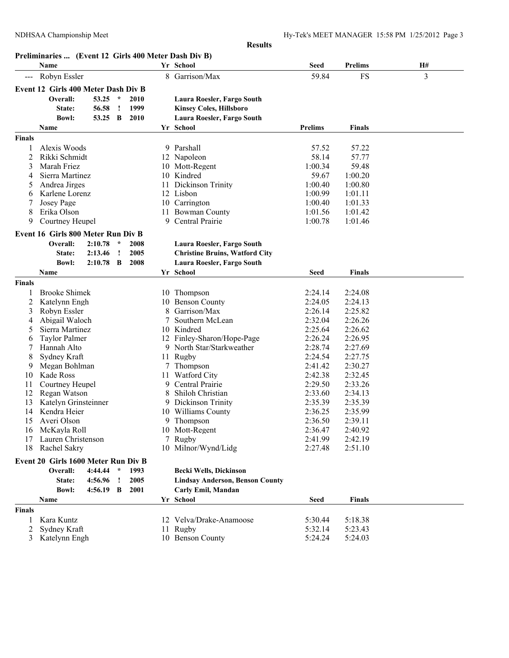|                     |                                                              |             |               |      |    | <b>Results</b>                          |                |                |    |
|---------------------|--------------------------------------------------------------|-------------|---------------|------|----|-----------------------------------------|----------------|----------------|----|
|                     | Preliminaries  (Event 12 Girls 400 Meter Dash Div B)<br>Name |             |               |      |    | Yr School                               | <b>Seed</b>    | <b>Prelims</b> | H# |
| $\qquad \qquad - -$ | Robyn Essler                                                 |             |               |      | 8  | Garrison/Max                            | 59.84          | FS             | 3  |
|                     | Event 12 Girls 400 Meter Dash Div B                          |             |               |      |    |                                         |                |                |    |
|                     | Overall:                                                     | 53.25       | $\star$       | 2010 |    | Laura Roesler, Fargo South              |                |                |    |
|                     |                                                              | 56.58       | $\cdot$       | 1999 |    |                                         |                |                |    |
|                     | State:                                                       |             |               |      |    | <b>Kinsey Coles, Hillsboro</b>          |                |                |    |
|                     | <b>Bowl:</b>                                                 | 53.25 B     |               | 2010 |    | Laura Roesler, Fargo South<br>Yr School | <b>Prelims</b> | <b>Finals</b>  |    |
|                     | <b>Name</b>                                                  |             |               |      |    |                                         |                |                |    |
| <b>Finals</b>       |                                                              |             |               |      |    |                                         |                |                |    |
|                     | Alexis Woods                                                 |             |               |      |    | 9 Parshall                              | 57.52          | 57.22          |    |
| 2                   | Rikki Schmidt                                                |             |               |      |    | 12 Napoleon                             | 58.14          | 57.77          |    |
| 3                   | Marah Friez                                                  |             |               |      |    | 10 Mott-Regent                          | 1:00.34        | 59.48          |    |
| 4                   | Sierra Martinez                                              |             |               |      |    | 10 Kindred                              | 59.67          | 1:00.20        |    |
| 5                   | Andrea Jirges                                                |             |               |      |    | 11 Dickinson Trinity                    | 1:00.40        | 1:00.80        |    |
| 6                   | Karlene Lorenz                                               |             |               |      |    | 12 Lisbon                               | 1:00.99        | 1:01.11        |    |
| 7                   | Josey Page                                                   |             |               |      |    | 10 Carrington                           | 1:00.40        | 1:01.33        |    |
| 8                   | Erika Olson                                                  |             |               |      |    | 11 Bowman County                        | 1:01.56        | 1:01.42        |    |
| 9                   | Courtney Heupel                                              |             |               |      | 9  | Central Prairie                         | 1:00.78        | 1:01.46        |    |
|                     | Event 16 Girls 800 Meter Run Div B                           |             |               |      |    |                                         |                |                |    |
|                     | Overall:                                                     | 2:10.78     | $\mathcal{R}$ | 2008 |    | Laura Roesler, Fargo South              |                |                |    |
|                     | State:                                                       | 2:13.46     | $\cdot$       | 2005 |    | <b>Christine Bruins, Watford City</b>   |                |                |    |
|                     | <b>Bowl:</b>                                                 | $2:10.78$ B |               | 2008 |    | Laura Roesler, Fargo South              |                |                |    |
|                     | Name                                                         |             |               |      |    | Yr School                               | <b>Seed</b>    | <b>Finals</b>  |    |
| <b>Finals</b>       |                                                              |             |               |      |    |                                         |                |                |    |
|                     | <b>Brooke Shimek</b>                                         |             |               |      |    | 10 Thompson                             | 2:24.14        | 2:24.08        |    |
| 2                   | Katelynn Engh                                                |             |               |      |    | 10 Benson County                        | 2:24.05        | 2:24.13        |    |
| 3                   | Robyn Essler                                                 |             |               |      | 8  | Garrison/Max                            | 2:26.14        | 2:25.82        |    |
| 4                   | Abigail Waloch                                               |             |               |      | 7  | Southern McLean                         | 2:32.04        | 2:26.26        |    |
| 5                   | Sierra Martinez                                              |             |               |      |    | 10 Kindred                              | 2:25.64        | 2:26.62        |    |
| 6                   | <b>Taylor Palmer</b>                                         |             |               |      |    | 12 Finley-Sharon/Hope-Page              | 2:26.24        | 2:26.95        |    |
| 7                   | Hannah Alto                                                  |             |               |      |    | 9 North Star/Starkweather               | 2:28.74        | 2:27.69        |    |
| 8                   | Sydney Kraft                                                 |             |               |      |    | 11 Rugby                                | 2:24.54        | 2:27.75        |    |
| 9                   | Megan Bohlman                                                |             |               |      |    | 7 Thompson                              | 2:41.42        | 2:30.27        |    |
| 10                  | Kade Ross                                                    |             |               |      | 11 | <b>Watford City</b>                     | 2:42.38        | 2:32.45        |    |
| 11                  | Courtney Heupel                                              |             |               |      |    | 9 Central Prairie                       | 2:29.50        | 2:33.26        |    |
| 12                  | Regan Watson                                                 |             |               |      | 8  | Shiloh Christian                        | 2:33.60        | 2:34.13        |    |
| 13                  | Katelyn Grinsteinner                                         |             |               |      |    | Dickinson Trinity                       | 2:35.39        | 2:35.39        |    |
| 14                  | Kendra Heier                                                 |             |               |      |    | 10 Williams County                      | 2:36.25        | 2:35.99        |    |
|                     |                                                              |             |               |      |    |                                         |                |                |    |

1 Kara Kuntz 12 Velva/Drake-Anamoose 5:30.44 5:18.38

**Event 20 Girls 1600 Meter Run Div B**<br>Overall: 4:44.44 \* 1993

16 McKayla Roll 10 Mott-Regent

**Bowl: 4:56.19 B 2001 Carly Emil, Mandan**

2 Sydney Kraft 11 Rugby 5:32.14 5:23.43

3 Katelynn Engh 10 Benson County 5:24.24 5:24.03

**Finals**

**Overall: 4:44.44 \* 1993 Becki Wells, Dickinson State: 4:56.96 ! 2005 Lindsay Anderson, Benson County**

**Name Yr School Seed Finals**

10 Milnor/Wynd/Lidg 2:27.48

15 Averi Olson 16 Averi Olson 16 Averi Olson 16 Averi Olson 2:36.50 2:39.11<br>16 McKayla Roll 10 Mott-Regent 2:36.47 2:40.92

17 Lauren Christenson 2:42.19<br>18 Rachel Sakry 10 Milnor/Wynd/Lidg 2:27.48 2:51.10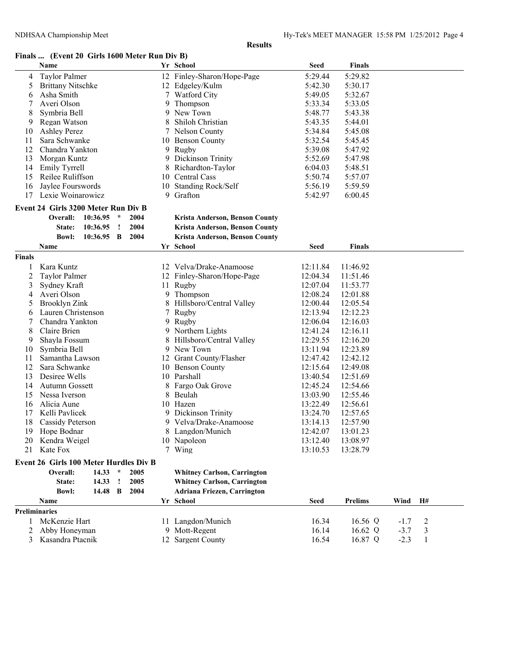## **Finals ... (Event 20 Girls 1600 Meter Run Div B)**

|               | Name                                                                           |               |              |                                    |                  | Yr School                          | <b>Seed</b> | <b>Finals</b>  |        |    |  |
|---------------|--------------------------------------------------------------------------------|---------------|--------------|------------------------------------|------------------|------------------------------------|-------------|----------------|--------|----|--|
| 4             | <b>Taylor Palmer</b>                                                           |               |              |                                    |                  | 12 Finley-Sharon/Hope-Page         | 5:29.44     | 5:29.82        |        |    |  |
| 5             | <b>Brittany Nitschke</b>                                                       |               |              |                                    |                  | 12 Edgeley/Kulm                    | 5:42.30     | 5:30.17        |        |    |  |
| 6             | Asha Smith                                                                     |               |              |                                    |                  | <b>Watford City</b>                | 5:49.05     | 5:32.67        |        |    |  |
|               | Averi Olson                                                                    |               |              |                                    | 9                | Thompson                           | 5:33.34     | 5:33.05        |        |    |  |
| 8             | Symbria Bell                                                                   |               |              |                                    | 9                | New Town                           | 5:48.77     | 5:43.38        |        |    |  |
| 9             | Regan Watson                                                                   |               |              |                                    | 8                | Shiloh Christian                   | 5:43.35     | 5:44.01        |        |    |  |
| 10            | <b>Ashley Perez</b>                                                            |               |              |                                    |                  | 7 Nelson County                    | 5:34.84     | 5:45.08        |        |    |  |
| 11            |                                                                                | Sara Schwanke |              |                                    | 10 Benson County | 5:32.54                            | 5:45.45     |                |        |    |  |
| 12            | Chandra Yankton                                                                |               |              | 9 Rugby                            | 5:39.08          | 5:47.92                            |             |                |        |    |  |
| 13            | Morgan Kuntz                                                                   |               |              |                                    |                  | 9 Dickinson Trinity                | 5:52.69     | 5:47.98        |        |    |  |
| 14            | <b>Emily Tyrrell</b>                                                           |               |              |                                    | 8                | Richardton-Taylor                  | 6:04.03     | 5:48.51        |        |    |  |
| 15            | Reilee Ruliffson                                                               |               |              |                                    |                  | 10 Central Cass                    | 5:50.74     | 5:57.07        |        |    |  |
| 16            | Jaylee Fourswords                                                              |               |              |                                    |                  | 10 Standing Rock/Self              | 5:56.19     | 5:59.59        |        |    |  |
| 17            | Lexie Woinarowicz                                                              |               |              |                                    |                  | 9 Grafton                          | 5:42.97     | 6:00.45        |        |    |  |
|               | Event 24 Girls 3200 Meter Run Div B                                            |               |              |                                    |                  |                                    |             |                |        |    |  |
|               | Overall:                                                                       | 10:36.95      | $\star$      | 2004                               |                  | Krista Anderson, Benson County     |             |                |        |    |  |
|               | State:                                                                         | 10:36.95      | $\mathbf{I}$ | 2004                               |                  | Krista Anderson, Benson County     |             |                |        |    |  |
|               | <b>Bowl:</b>                                                                   | 10:36.95      | B            | 2004                               |                  | Krista Anderson, Benson County     |             |                |        |    |  |
|               | Name                                                                           |               |              |                                    |                  | Yr School                          | Seed        | Finals         |        |    |  |
| <b>Finals</b> |                                                                                |               |              |                                    |                  |                                    |             |                |        |    |  |
| 1             | Kara Kuntz                                                                     |               |              |                                    |                  | 12 Velva/Drake-Anamoose            | 12:11.84    | 11:46.92       |        |    |  |
| 2             | <b>Taylor Palmer</b>                                                           |               |              |                                    |                  | 12 Finley-Sharon/Hope-Page         | 12:04.34    | 11:51.46       |        |    |  |
| 3             | Sydney Kraft                                                                   |               |              |                                    |                  | 11 Rugby                           | 12:07.04    | 11:53.77       |        |    |  |
| 4             | Averi Olson                                                                    |               |              |                                    |                  | 9 Thompson                         | 12:08.24    | 12:01.88       |        |    |  |
| 5             | <b>Brooklyn Zink</b>                                                           |               |              |                                    | 8                | Hillsboro/Central Valley           | 12:00.44    | 12:05.54       |        |    |  |
| 6             | Lauren Christenson                                                             |               |              |                                    | 7                | Rugby                              | 12:13.94    | 12:12.23       |        |    |  |
| 7             | Chandra Yankton                                                                |               |              |                                    |                  | 9 Rugby                            | 12:06.04    | 12:16.03       |        |    |  |
| 8             | Claire Brien                                                                   |               |              |                                    |                  | 9 Northern Lights                  | 12:41.24    | 12:16.11       |        |    |  |
| 9             | Shayla Fossum                                                                  |               |              |                                    | 8                | Hillsboro/Central Valley           | 12:29.55    | 12:16.20       |        |    |  |
| 10            | Symbria Bell                                                                   |               |              |                                    |                  | 9 New Town                         | 13:11.94    | 12:23.89       |        |    |  |
| 11            | Samantha Lawson                                                                |               |              |                                    |                  | 12 Grant County/Flasher            | 12:47.42    | 12:42.12       |        |    |  |
| 12            | Sara Schwanke                                                                  |               |              |                                    |                  | 10 Benson County                   | 12:15.64    | 12:49.08       |        |    |  |
| 13            | Desiree Wells                                                                  |               |              |                                    |                  | 10 Parshall                        | 13:40.54    | 12:51.69       |        |    |  |
| 14            | Autumn Gossett                                                                 |               |              |                                    |                  | 8 Fargo Oak Grove                  | 12:45.24    | 12:54.66       |        |    |  |
| 15            | Nessa Iverson                                                                  |               |              |                                    |                  | 8 Beulah                           | 13:03.90    | 12:55.46       |        |    |  |
| 16            | Alicia Aune                                                                    |               |              |                                    |                  | 10 Hazen                           | 13:22.49    | 12:56.61       |        |    |  |
| 17            | Kelli Pavlicek                                                                 |               |              |                                    |                  | 9 Dickinson Trinity                | 13:24.70    | 12:57.65       |        |    |  |
| 18            | Cassidy Peterson                                                               |               |              |                                    |                  | 9 Velva/Drake-Anamoose             | 13:14.13    | 12:57.90       |        |    |  |
|               | 19 Hope Bodnar                                                                 |               |              |                                    |                  | 8 Langdon/Munich                   | 12:42.07    | 13:01.23       |        |    |  |
|               | 20 Kendra Weigel                                                               |               |              |                                    |                  | 10 Napoleon                        | 13:12.40    | 13:08.97       |        |    |  |
| 21            | Kate Fox                                                                       |               |              |                                    |                  | 7 Wing                             | 13:10.53    | 13:28.79       |        |    |  |
|               |                                                                                |               |              |                                    |                  |                                    |             |                |        |    |  |
|               | <b>Event 26 Girls 100 Meter Hurdles Div B</b><br>$14.33$ *<br>2005<br>Overall: |               |              | <b>Whitney Carlson, Carrington</b> |                  |                                    |             |                |        |    |  |
|               | 14.33<br>2005<br>State:<br><u>!</u>                                            |               |              | <b>Whitney Carlson, Carrington</b> |                  |                                    |             |                |        |    |  |
|               | <b>Bowl:</b>                                                                   | 14.48         | B            | 2004                               |                  | <b>Adriana Friezen, Carrington</b> |             |                |        |    |  |
|               | Name                                                                           |               |              |                                    |                  | Yr School                          | <b>Seed</b> | <b>Prelims</b> | Wind   | H# |  |
| Preliminaries |                                                                                |               |              |                                    |                  |                                    |             |                |        |    |  |
| 1             | McKenzie Hart                                                                  |               |              |                                    |                  | 11 Langdon/Munich                  | 16.34       | 16.56 Q        | $-1.7$ | 2  |  |
| 2             | Abby Honeyman                                                                  |               |              |                                    |                  | 9 Mott-Regent                      | 16.14       | 16.62 Q        | $-3.7$ | 3  |  |
| 3             | Kasandra Ptacnik                                                               |               |              |                                    |                  | 12 Sargent County                  | 16.54       | 16.87 Q        | $-2.3$ | 1  |  |
|               |                                                                                |               |              |                                    |                  |                                    |             |                |        |    |  |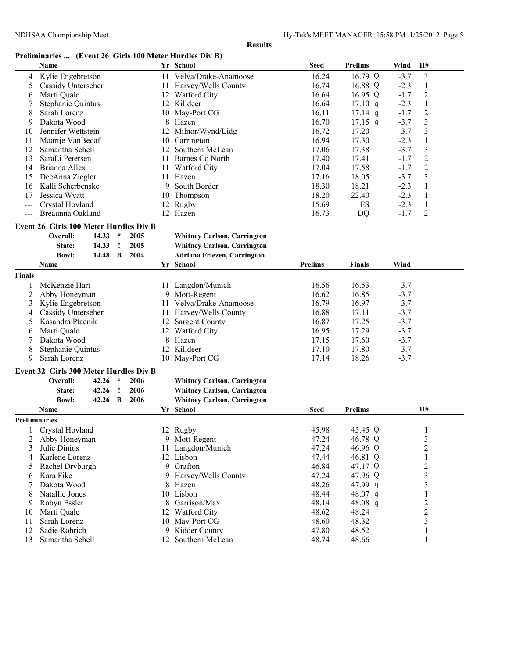# **Preliminaries ... (Event 26 Girls 100 Meter Hurdles Div B)**

| 3<br>11 Velva/Drake-Anamoose<br>16.24<br>16.79 Q<br>$-3.7$<br>Kylie Engebretson<br>4<br>Cassidy Unterseher<br>16.74<br>16.88 Q<br>$-2.3$<br>5<br>11 Harvey/Wells County<br>1<br>$\overline{c}$<br>Marti Quale<br>12 Watford City<br>16.64<br>16.95 $Q$<br>$-1.7$<br>6<br>Stephanie Quintus<br>12 Killdeer<br>16.64<br>1<br>$17.10 \text{ q}$<br>$-2.3$<br>$\boldsymbol{2}$<br>8<br>Sarah Lorenz<br>10 May-Port CG<br>16.11<br>$17.14$ q<br>$-1.7$<br>3<br>$17.15$ q<br>$-3.7$<br>Dakota Wood<br>8<br>Hazen<br>16.70<br>9<br>17.20<br>$-3.7$<br>3<br>Jennifer Wettstein<br>12<br>Milnor/Wynd/Lidg<br>16.72<br>10<br>17.30<br>Carrington<br>16.94<br>$-2.3$<br>1<br>11<br>Maartje VanBedaf<br>10<br>3<br>12<br>Samantha Schell<br>12 Southern McLean<br>17.06<br>17.38<br>$-3.7$<br>$\overline{2}$<br>SaraLi Petersen<br>11 Barnes Co North<br>17.40<br>17.41<br>13<br>$-1.7$<br>$\boldsymbol{2}$<br>17.58<br>$-1.7$<br>Brianna Allex<br>11 Watford City<br>17.04<br>14<br>$\mathfrak{Z}$<br>DeeAnna Ziegler<br>11 Hazen<br>17.16<br>18.05<br>$-3.7$<br>15<br>Kalli Scherbenske<br>South Border<br>18.30<br>18.21<br>$-2.3$<br>1<br>16<br>9<br>Thompson<br>18.20<br>22.40<br>$-2.3$<br>$\mathbf{1}$<br>17<br>Jessica Wyatt<br>10<br>Crystal Hovland<br>12 Rugby<br>15.69<br>FS<br>$-2.3$<br>$\mathbf{1}$<br>$---$<br>2<br>Breaunna Oakland<br>12 Hazen<br>16.73<br><b>DQ</b><br>$-1.7$<br>---<br>Event 26 Girls 100 Meter Hurdles Div B<br>14.33<br>$\star$<br>2005<br>Overall:<br><b>Whitney Carlson, Carrington</b><br>14.33<br>2005<br><b>Whitney Carlson, Carrington</b><br>State:<br>$\mathbf{I}$<br><b>Bowl:</b><br>14.48 B<br>2004<br><b>Adriana Friezen, Carrington</b><br>Yr School<br><b>Prelims</b><br>Wind<br>Name<br><b>Finals</b><br><b>Finals</b><br>McKenzie Hart<br>11 Langdon/Munich<br>16.56<br>16.53<br>$-3.7$<br>1<br>2<br>Abby Honeyman<br>9 Mott-Regent<br>16.62<br>16.85<br>$-3.7$<br>Kylie Engebretson<br>11 Velva/Drake-Anamoose<br>16.79<br>16.97<br>3<br>$-3.7$<br>$-3.7$<br>Cassidy Unterseher<br>11 Harvey/Wells County<br>16.88<br>17.11<br>4<br>16.87<br>$-3.7$<br>Kasandra Ptacnik<br><b>Sargent County</b><br>17.25<br>5<br>12<br>12 Watford City<br>17.29<br>Marti Quale<br>16.95<br>$-3.7$<br>6<br>Dakota Wood<br>8<br>Hazen<br>17.15<br>17.60<br>$-3.7$<br>7<br>8<br>12 Killdeer<br>17.10<br>17.80<br>$-3.7$<br>Stephanie Quintus<br>Sarah Lorenz<br>9<br>May-Port CG<br>17.14<br>18.26<br>10<br>$-3.7$<br>Event 32 Girls 300 Meter Hurdles Div B<br>Overall:<br>$\star$<br>2006<br>42.26<br><b>Whitney Carlson, Carrington</b><br>42.26<br>2006<br><b>Whitney Carlson, Carrington</b><br>State:<br>$\cdot$<br><b>Bowl:</b><br>42.26 B<br>2006<br><b>Whitney Carlson, Carrington</b><br>Yr School<br><b>Prelims</b><br>H#<br>Name<br><b>Seed</b><br><b>Preliminaries</b><br>45.98<br>45.45 Q<br>1 Crystal Hovland<br>12 Rugby<br>3<br>9 Mott-Regent<br>47.24<br>46.78 Q<br>Abby Honeyman<br>2<br>Julie Dinius<br>11 Langdon/Munich<br>47.24<br>46.96 Q<br>3<br>Karlene Lorenz<br>46.81 Q<br>12 Lisbon<br>47.44<br>1<br>4<br>$\overline{c}$<br>9 Grafton<br>46.84<br>47.17 Q<br>Rachel Dryburgh<br>5<br>3<br>Kara Fike<br>9 Harvey/Wells County<br>47.24<br>47.96 Q<br>6 | $\mu$ and $\mu$ and $\mu$ and $\mu$ and $\mu$ and $\mu$ and $\mu$<br>Name |  |  | Yr School | Seed | <b>Prelims</b> | Wind | H# |  |
|------------------------------------------------------------------------------------------------------------------------------------------------------------------------------------------------------------------------------------------------------------------------------------------------------------------------------------------------------------------------------------------------------------------------------------------------------------------------------------------------------------------------------------------------------------------------------------------------------------------------------------------------------------------------------------------------------------------------------------------------------------------------------------------------------------------------------------------------------------------------------------------------------------------------------------------------------------------------------------------------------------------------------------------------------------------------------------------------------------------------------------------------------------------------------------------------------------------------------------------------------------------------------------------------------------------------------------------------------------------------------------------------------------------------------------------------------------------------------------------------------------------------------------------------------------------------------------------------------------------------------------------------------------------------------------------------------------------------------------------------------------------------------------------------------------------------------------------------------------------------------------------------------------------------------------------------------------------------------------------------------------------------------------------------------------------------------------------------------------------------------------------------------------------------------------------------------------------------------------------------------------------------------------------------------------------------------------------------------------------------------------------------------------------------------------------------------------------------------------------------------------------------------------------------------------------------------------------------------------------------------------------------------------------------------------------------------------------------------------------------------------------------------------------------------------------------------------------------------------------------------------------------------------------------------------------------------------------------------------------------------------------------------------------------------------------------------------------------------------------------------------------------------------------------------------------------------------|---------------------------------------------------------------------------|--|--|-----------|------|----------------|------|----|--|
|                                                                                                                                                                                                                                                                                                                                                                                                                                                                                                                                                                                                                                                                                                                                                                                                                                                                                                                                                                                                                                                                                                                                                                                                                                                                                                                                                                                                                                                                                                                                                                                                                                                                                                                                                                                                                                                                                                                                                                                                                                                                                                                                                                                                                                                                                                                                                                                                                                                                                                                                                                                                                                                                                                                                                                                                                                                                                                                                                                                                                                                                                                                                                                                                            |                                                                           |  |  |           |      |                |      |    |  |
|                                                                                                                                                                                                                                                                                                                                                                                                                                                                                                                                                                                                                                                                                                                                                                                                                                                                                                                                                                                                                                                                                                                                                                                                                                                                                                                                                                                                                                                                                                                                                                                                                                                                                                                                                                                                                                                                                                                                                                                                                                                                                                                                                                                                                                                                                                                                                                                                                                                                                                                                                                                                                                                                                                                                                                                                                                                                                                                                                                                                                                                                                                                                                                                                            |                                                                           |  |  |           |      |                |      |    |  |
|                                                                                                                                                                                                                                                                                                                                                                                                                                                                                                                                                                                                                                                                                                                                                                                                                                                                                                                                                                                                                                                                                                                                                                                                                                                                                                                                                                                                                                                                                                                                                                                                                                                                                                                                                                                                                                                                                                                                                                                                                                                                                                                                                                                                                                                                                                                                                                                                                                                                                                                                                                                                                                                                                                                                                                                                                                                                                                                                                                                                                                                                                                                                                                                                            |                                                                           |  |  |           |      |                |      |    |  |
|                                                                                                                                                                                                                                                                                                                                                                                                                                                                                                                                                                                                                                                                                                                                                                                                                                                                                                                                                                                                                                                                                                                                                                                                                                                                                                                                                                                                                                                                                                                                                                                                                                                                                                                                                                                                                                                                                                                                                                                                                                                                                                                                                                                                                                                                                                                                                                                                                                                                                                                                                                                                                                                                                                                                                                                                                                                                                                                                                                                                                                                                                                                                                                                                            |                                                                           |  |  |           |      |                |      |    |  |
|                                                                                                                                                                                                                                                                                                                                                                                                                                                                                                                                                                                                                                                                                                                                                                                                                                                                                                                                                                                                                                                                                                                                                                                                                                                                                                                                                                                                                                                                                                                                                                                                                                                                                                                                                                                                                                                                                                                                                                                                                                                                                                                                                                                                                                                                                                                                                                                                                                                                                                                                                                                                                                                                                                                                                                                                                                                                                                                                                                                                                                                                                                                                                                                                            |                                                                           |  |  |           |      |                |      |    |  |
|                                                                                                                                                                                                                                                                                                                                                                                                                                                                                                                                                                                                                                                                                                                                                                                                                                                                                                                                                                                                                                                                                                                                                                                                                                                                                                                                                                                                                                                                                                                                                                                                                                                                                                                                                                                                                                                                                                                                                                                                                                                                                                                                                                                                                                                                                                                                                                                                                                                                                                                                                                                                                                                                                                                                                                                                                                                                                                                                                                                                                                                                                                                                                                                                            |                                                                           |  |  |           |      |                |      |    |  |
|                                                                                                                                                                                                                                                                                                                                                                                                                                                                                                                                                                                                                                                                                                                                                                                                                                                                                                                                                                                                                                                                                                                                                                                                                                                                                                                                                                                                                                                                                                                                                                                                                                                                                                                                                                                                                                                                                                                                                                                                                                                                                                                                                                                                                                                                                                                                                                                                                                                                                                                                                                                                                                                                                                                                                                                                                                                                                                                                                                                                                                                                                                                                                                                                            |                                                                           |  |  |           |      |                |      |    |  |
|                                                                                                                                                                                                                                                                                                                                                                                                                                                                                                                                                                                                                                                                                                                                                                                                                                                                                                                                                                                                                                                                                                                                                                                                                                                                                                                                                                                                                                                                                                                                                                                                                                                                                                                                                                                                                                                                                                                                                                                                                                                                                                                                                                                                                                                                                                                                                                                                                                                                                                                                                                                                                                                                                                                                                                                                                                                                                                                                                                                                                                                                                                                                                                                                            |                                                                           |  |  |           |      |                |      |    |  |
|                                                                                                                                                                                                                                                                                                                                                                                                                                                                                                                                                                                                                                                                                                                                                                                                                                                                                                                                                                                                                                                                                                                                                                                                                                                                                                                                                                                                                                                                                                                                                                                                                                                                                                                                                                                                                                                                                                                                                                                                                                                                                                                                                                                                                                                                                                                                                                                                                                                                                                                                                                                                                                                                                                                                                                                                                                                                                                                                                                                                                                                                                                                                                                                                            |                                                                           |  |  |           |      |                |      |    |  |
|                                                                                                                                                                                                                                                                                                                                                                                                                                                                                                                                                                                                                                                                                                                                                                                                                                                                                                                                                                                                                                                                                                                                                                                                                                                                                                                                                                                                                                                                                                                                                                                                                                                                                                                                                                                                                                                                                                                                                                                                                                                                                                                                                                                                                                                                                                                                                                                                                                                                                                                                                                                                                                                                                                                                                                                                                                                                                                                                                                                                                                                                                                                                                                                                            |                                                                           |  |  |           |      |                |      |    |  |
|                                                                                                                                                                                                                                                                                                                                                                                                                                                                                                                                                                                                                                                                                                                                                                                                                                                                                                                                                                                                                                                                                                                                                                                                                                                                                                                                                                                                                                                                                                                                                                                                                                                                                                                                                                                                                                                                                                                                                                                                                                                                                                                                                                                                                                                                                                                                                                                                                                                                                                                                                                                                                                                                                                                                                                                                                                                                                                                                                                                                                                                                                                                                                                                                            |                                                                           |  |  |           |      |                |      |    |  |
|                                                                                                                                                                                                                                                                                                                                                                                                                                                                                                                                                                                                                                                                                                                                                                                                                                                                                                                                                                                                                                                                                                                                                                                                                                                                                                                                                                                                                                                                                                                                                                                                                                                                                                                                                                                                                                                                                                                                                                                                                                                                                                                                                                                                                                                                                                                                                                                                                                                                                                                                                                                                                                                                                                                                                                                                                                                                                                                                                                                                                                                                                                                                                                                                            |                                                                           |  |  |           |      |                |      |    |  |
|                                                                                                                                                                                                                                                                                                                                                                                                                                                                                                                                                                                                                                                                                                                                                                                                                                                                                                                                                                                                                                                                                                                                                                                                                                                                                                                                                                                                                                                                                                                                                                                                                                                                                                                                                                                                                                                                                                                                                                                                                                                                                                                                                                                                                                                                                                                                                                                                                                                                                                                                                                                                                                                                                                                                                                                                                                                                                                                                                                                                                                                                                                                                                                                                            |                                                                           |  |  |           |      |                |      |    |  |
|                                                                                                                                                                                                                                                                                                                                                                                                                                                                                                                                                                                                                                                                                                                                                                                                                                                                                                                                                                                                                                                                                                                                                                                                                                                                                                                                                                                                                                                                                                                                                                                                                                                                                                                                                                                                                                                                                                                                                                                                                                                                                                                                                                                                                                                                                                                                                                                                                                                                                                                                                                                                                                                                                                                                                                                                                                                                                                                                                                                                                                                                                                                                                                                                            |                                                                           |  |  |           |      |                |      |    |  |
|                                                                                                                                                                                                                                                                                                                                                                                                                                                                                                                                                                                                                                                                                                                                                                                                                                                                                                                                                                                                                                                                                                                                                                                                                                                                                                                                                                                                                                                                                                                                                                                                                                                                                                                                                                                                                                                                                                                                                                                                                                                                                                                                                                                                                                                                                                                                                                                                                                                                                                                                                                                                                                                                                                                                                                                                                                                                                                                                                                                                                                                                                                                                                                                                            |                                                                           |  |  |           |      |                |      |    |  |
|                                                                                                                                                                                                                                                                                                                                                                                                                                                                                                                                                                                                                                                                                                                                                                                                                                                                                                                                                                                                                                                                                                                                                                                                                                                                                                                                                                                                                                                                                                                                                                                                                                                                                                                                                                                                                                                                                                                                                                                                                                                                                                                                                                                                                                                                                                                                                                                                                                                                                                                                                                                                                                                                                                                                                                                                                                                                                                                                                                                                                                                                                                                                                                                                            |                                                                           |  |  |           |      |                |      |    |  |
|                                                                                                                                                                                                                                                                                                                                                                                                                                                                                                                                                                                                                                                                                                                                                                                                                                                                                                                                                                                                                                                                                                                                                                                                                                                                                                                                                                                                                                                                                                                                                                                                                                                                                                                                                                                                                                                                                                                                                                                                                                                                                                                                                                                                                                                                                                                                                                                                                                                                                                                                                                                                                                                                                                                                                                                                                                                                                                                                                                                                                                                                                                                                                                                                            |                                                                           |  |  |           |      |                |      |    |  |
|                                                                                                                                                                                                                                                                                                                                                                                                                                                                                                                                                                                                                                                                                                                                                                                                                                                                                                                                                                                                                                                                                                                                                                                                                                                                                                                                                                                                                                                                                                                                                                                                                                                                                                                                                                                                                                                                                                                                                                                                                                                                                                                                                                                                                                                                                                                                                                                                                                                                                                                                                                                                                                                                                                                                                                                                                                                                                                                                                                                                                                                                                                                                                                                                            |                                                                           |  |  |           |      |                |      |    |  |
|                                                                                                                                                                                                                                                                                                                                                                                                                                                                                                                                                                                                                                                                                                                                                                                                                                                                                                                                                                                                                                                                                                                                                                                                                                                                                                                                                                                                                                                                                                                                                                                                                                                                                                                                                                                                                                                                                                                                                                                                                                                                                                                                                                                                                                                                                                                                                                                                                                                                                                                                                                                                                                                                                                                                                                                                                                                                                                                                                                                                                                                                                                                                                                                                            |                                                                           |  |  |           |      |                |      |    |  |
|                                                                                                                                                                                                                                                                                                                                                                                                                                                                                                                                                                                                                                                                                                                                                                                                                                                                                                                                                                                                                                                                                                                                                                                                                                                                                                                                                                                                                                                                                                                                                                                                                                                                                                                                                                                                                                                                                                                                                                                                                                                                                                                                                                                                                                                                                                                                                                                                                                                                                                                                                                                                                                                                                                                                                                                                                                                                                                                                                                                                                                                                                                                                                                                                            |                                                                           |  |  |           |      |                |      |    |  |
|                                                                                                                                                                                                                                                                                                                                                                                                                                                                                                                                                                                                                                                                                                                                                                                                                                                                                                                                                                                                                                                                                                                                                                                                                                                                                                                                                                                                                                                                                                                                                                                                                                                                                                                                                                                                                                                                                                                                                                                                                                                                                                                                                                                                                                                                                                                                                                                                                                                                                                                                                                                                                                                                                                                                                                                                                                                                                                                                                                                                                                                                                                                                                                                                            |                                                                           |  |  |           |      |                |      |    |  |
|                                                                                                                                                                                                                                                                                                                                                                                                                                                                                                                                                                                                                                                                                                                                                                                                                                                                                                                                                                                                                                                                                                                                                                                                                                                                                                                                                                                                                                                                                                                                                                                                                                                                                                                                                                                                                                                                                                                                                                                                                                                                                                                                                                                                                                                                                                                                                                                                                                                                                                                                                                                                                                                                                                                                                                                                                                                                                                                                                                                                                                                                                                                                                                                                            |                                                                           |  |  |           |      |                |      |    |  |
|                                                                                                                                                                                                                                                                                                                                                                                                                                                                                                                                                                                                                                                                                                                                                                                                                                                                                                                                                                                                                                                                                                                                                                                                                                                                                                                                                                                                                                                                                                                                                                                                                                                                                                                                                                                                                                                                                                                                                                                                                                                                                                                                                                                                                                                                                                                                                                                                                                                                                                                                                                                                                                                                                                                                                                                                                                                                                                                                                                                                                                                                                                                                                                                                            |                                                                           |  |  |           |      |                |      |    |  |
|                                                                                                                                                                                                                                                                                                                                                                                                                                                                                                                                                                                                                                                                                                                                                                                                                                                                                                                                                                                                                                                                                                                                                                                                                                                                                                                                                                                                                                                                                                                                                                                                                                                                                                                                                                                                                                                                                                                                                                                                                                                                                                                                                                                                                                                                                                                                                                                                                                                                                                                                                                                                                                                                                                                                                                                                                                                                                                                                                                                                                                                                                                                                                                                                            |                                                                           |  |  |           |      |                |      |    |  |
|                                                                                                                                                                                                                                                                                                                                                                                                                                                                                                                                                                                                                                                                                                                                                                                                                                                                                                                                                                                                                                                                                                                                                                                                                                                                                                                                                                                                                                                                                                                                                                                                                                                                                                                                                                                                                                                                                                                                                                                                                                                                                                                                                                                                                                                                                                                                                                                                                                                                                                                                                                                                                                                                                                                                                                                                                                                                                                                                                                                                                                                                                                                                                                                                            |                                                                           |  |  |           |      |                |      |    |  |
|                                                                                                                                                                                                                                                                                                                                                                                                                                                                                                                                                                                                                                                                                                                                                                                                                                                                                                                                                                                                                                                                                                                                                                                                                                                                                                                                                                                                                                                                                                                                                                                                                                                                                                                                                                                                                                                                                                                                                                                                                                                                                                                                                                                                                                                                                                                                                                                                                                                                                                                                                                                                                                                                                                                                                                                                                                                                                                                                                                                                                                                                                                                                                                                                            |                                                                           |  |  |           |      |                |      |    |  |
|                                                                                                                                                                                                                                                                                                                                                                                                                                                                                                                                                                                                                                                                                                                                                                                                                                                                                                                                                                                                                                                                                                                                                                                                                                                                                                                                                                                                                                                                                                                                                                                                                                                                                                                                                                                                                                                                                                                                                                                                                                                                                                                                                                                                                                                                                                                                                                                                                                                                                                                                                                                                                                                                                                                                                                                                                                                                                                                                                                                                                                                                                                                                                                                                            |                                                                           |  |  |           |      |                |      |    |  |
|                                                                                                                                                                                                                                                                                                                                                                                                                                                                                                                                                                                                                                                                                                                                                                                                                                                                                                                                                                                                                                                                                                                                                                                                                                                                                                                                                                                                                                                                                                                                                                                                                                                                                                                                                                                                                                                                                                                                                                                                                                                                                                                                                                                                                                                                                                                                                                                                                                                                                                                                                                                                                                                                                                                                                                                                                                                                                                                                                                                                                                                                                                                                                                                                            |                                                                           |  |  |           |      |                |      |    |  |
|                                                                                                                                                                                                                                                                                                                                                                                                                                                                                                                                                                                                                                                                                                                                                                                                                                                                                                                                                                                                                                                                                                                                                                                                                                                                                                                                                                                                                                                                                                                                                                                                                                                                                                                                                                                                                                                                                                                                                                                                                                                                                                                                                                                                                                                                                                                                                                                                                                                                                                                                                                                                                                                                                                                                                                                                                                                                                                                                                                                                                                                                                                                                                                                                            |                                                                           |  |  |           |      |                |      |    |  |
|                                                                                                                                                                                                                                                                                                                                                                                                                                                                                                                                                                                                                                                                                                                                                                                                                                                                                                                                                                                                                                                                                                                                                                                                                                                                                                                                                                                                                                                                                                                                                                                                                                                                                                                                                                                                                                                                                                                                                                                                                                                                                                                                                                                                                                                                                                                                                                                                                                                                                                                                                                                                                                                                                                                                                                                                                                                                                                                                                                                                                                                                                                                                                                                                            |                                                                           |  |  |           |      |                |      |    |  |
|                                                                                                                                                                                                                                                                                                                                                                                                                                                                                                                                                                                                                                                                                                                                                                                                                                                                                                                                                                                                                                                                                                                                                                                                                                                                                                                                                                                                                                                                                                                                                                                                                                                                                                                                                                                                                                                                                                                                                                                                                                                                                                                                                                                                                                                                                                                                                                                                                                                                                                                                                                                                                                                                                                                                                                                                                                                                                                                                                                                                                                                                                                                                                                                                            |                                                                           |  |  |           |      |                |      |    |  |
|                                                                                                                                                                                                                                                                                                                                                                                                                                                                                                                                                                                                                                                                                                                                                                                                                                                                                                                                                                                                                                                                                                                                                                                                                                                                                                                                                                                                                                                                                                                                                                                                                                                                                                                                                                                                                                                                                                                                                                                                                                                                                                                                                                                                                                                                                                                                                                                                                                                                                                                                                                                                                                                                                                                                                                                                                                                                                                                                                                                                                                                                                                                                                                                                            |                                                                           |  |  |           |      |                |      |    |  |
|                                                                                                                                                                                                                                                                                                                                                                                                                                                                                                                                                                                                                                                                                                                                                                                                                                                                                                                                                                                                                                                                                                                                                                                                                                                                                                                                                                                                                                                                                                                                                                                                                                                                                                                                                                                                                                                                                                                                                                                                                                                                                                                                                                                                                                                                                                                                                                                                                                                                                                                                                                                                                                                                                                                                                                                                                                                                                                                                                                                                                                                                                                                                                                                                            |                                                                           |  |  |           |      |                |      |    |  |
|                                                                                                                                                                                                                                                                                                                                                                                                                                                                                                                                                                                                                                                                                                                                                                                                                                                                                                                                                                                                                                                                                                                                                                                                                                                                                                                                                                                                                                                                                                                                                                                                                                                                                                                                                                                                                                                                                                                                                                                                                                                                                                                                                                                                                                                                                                                                                                                                                                                                                                                                                                                                                                                                                                                                                                                                                                                                                                                                                                                                                                                                                                                                                                                                            |                                                                           |  |  |           |      |                |      |    |  |
|                                                                                                                                                                                                                                                                                                                                                                                                                                                                                                                                                                                                                                                                                                                                                                                                                                                                                                                                                                                                                                                                                                                                                                                                                                                                                                                                                                                                                                                                                                                                                                                                                                                                                                                                                                                                                                                                                                                                                                                                                                                                                                                                                                                                                                                                                                                                                                                                                                                                                                                                                                                                                                                                                                                                                                                                                                                                                                                                                                                                                                                                                                                                                                                                            |                                                                           |  |  |           |      |                |      |    |  |
|                                                                                                                                                                                                                                                                                                                                                                                                                                                                                                                                                                                                                                                                                                                                                                                                                                                                                                                                                                                                                                                                                                                                                                                                                                                                                                                                                                                                                                                                                                                                                                                                                                                                                                                                                                                                                                                                                                                                                                                                                                                                                                                                                                                                                                                                                                                                                                                                                                                                                                                                                                                                                                                                                                                                                                                                                                                                                                                                                                                                                                                                                                                                                                                                            |                                                                           |  |  |           |      |                |      |    |  |
|                                                                                                                                                                                                                                                                                                                                                                                                                                                                                                                                                                                                                                                                                                                                                                                                                                                                                                                                                                                                                                                                                                                                                                                                                                                                                                                                                                                                                                                                                                                                                                                                                                                                                                                                                                                                                                                                                                                                                                                                                                                                                                                                                                                                                                                                                                                                                                                                                                                                                                                                                                                                                                                                                                                                                                                                                                                                                                                                                                                                                                                                                                                                                                                                            |                                                                           |  |  |           |      |                |      |    |  |
|                                                                                                                                                                                                                                                                                                                                                                                                                                                                                                                                                                                                                                                                                                                                                                                                                                                                                                                                                                                                                                                                                                                                                                                                                                                                                                                                                                                                                                                                                                                                                                                                                                                                                                                                                                                                                                                                                                                                                                                                                                                                                                                                                                                                                                                                                                                                                                                                                                                                                                                                                                                                                                                                                                                                                                                                                                                                                                                                                                                                                                                                                                                                                                                                            |                                                                           |  |  |           |      |                |      |    |  |
|                                                                                                                                                                                                                                                                                                                                                                                                                                                                                                                                                                                                                                                                                                                                                                                                                                                                                                                                                                                                                                                                                                                                                                                                                                                                                                                                                                                                                                                                                                                                                                                                                                                                                                                                                                                                                                                                                                                                                                                                                                                                                                                                                                                                                                                                                                                                                                                                                                                                                                                                                                                                                                                                                                                                                                                                                                                                                                                                                                                                                                                                                                                                                                                                            |                                                                           |  |  |           |      |                |      |    |  |
|                                                                                                                                                                                                                                                                                                                                                                                                                                                                                                                                                                                                                                                                                                                                                                                                                                                                                                                                                                                                                                                                                                                                                                                                                                                                                                                                                                                                                                                                                                                                                                                                                                                                                                                                                                                                                                                                                                                                                                                                                                                                                                                                                                                                                                                                                                                                                                                                                                                                                                                                                                                                                                                                                                                                                                                                                                                                                                                                                                                                                                                                                                                                                                                                            |                                                                           |  |  |           |      |                |      |    |  |
|                                                                                                                                                                                                                                                                                                                                                                                                                                                                                                                                                                                                                                                                                                                                                                                                                                                                                                                                                                                                                                                                                                                                                                                                                                                                                                                                                                                                                                                                                                                                                                                                                                                                                                                                                                                                                                                                                                                                                                                                                                                                                                                                                                                                                                                                                                                                                                                                                                                                                                                                                                                                                                                                                                                                                                                                                                                                                                                                                                                                                                                                                                                                                                                                            |                                                                           |  |  |           |      |                |      |    |  |
|                                                                                                                                                                                                                                                                                                                                                                                                                                                                                                                                                                                                                                                                                                                                                                                                                                                                                                                                                                                                                                                                                                                                                                                                                                                                                                                                                                                                                                                                                                                                                                                                                                                                                                                                                                                                                                                                                                                                                                                                                                                                                                                                                                                                                                                                                                                                                                                                                                                                                                                                                                                                                                                                                                                                                                                                                                                                                                                                                                                                                                                                                                                                                                                                            |                                                                           |  |  |           |      |                |      |    |  |
|                                                                                                                                                                                                                                                                                                                                                                                                                                                                                                                                                                                                                                                                                                                                                                                                                                                                                                                                                                                                                                                                                                                                                                                                                                                                                                                                                                                                                                                                                                                                                                                                                                                                                                                                                                                                                                                                                                                                                                                                                                                                                                                                                                                                                                                                                                                                                                                                                                                                                                                                                                                                                                                                                                                                                                                                                                                                                                                                                                                                                                                                                                                                                                                                            |                                                                           |  |  |           |      |                |      |    |  |
| 48.26<br>47.99 q<br>3<br>8<br>Hazen<br>7                                                                                                                                                                                                                                                                                                                                                                                                                                                                                                                                                                                                                                                                                                                                                                                                                                                                                                                                                                                                                                                                                                                                                                                                                                                                                                                                                                                                                                                                                                                                                                                                                                                                                                                                                                                                                                                                                                                                                                                                                                                                                                                                                                                                                                                                                                                                                                                                                                                                                                                                                                                                                                                                                                                                                                                                                                                                                                                                                                                                                                                                                                                                                                   | Dakota Wood                                                               |  |  |           |      |                |      |    |  |
| 10 Lisbon<br>48.44<br>Natallie Jones<br>48.07 q<br>8                                                                                                                                                                                                                                                                                                                                                                                                                                                                                                                                                                                                                                                                                                                                                                                                                                                                                                                                                                                                                                                                                                                                                                                                                                                                                                                                                                                                                                                                                                                                                                                                                                                                                                                                                                                                                                                                                                                                                                                                                                                                                                                                                                                                                                                                                                                                                                                                                                                                                                                                                                                                                                                                                                                                                                                                                                                                                                                                                                                                                                                                                                                                                       |                                                                           |  |  |           |      |                |      |    |  |
| Garrison/Max<br>2<br>Robyn Essler<br>48.14<br>9<br>8<br>48.08 $q$                                                                                                                                                                                                                                                                                                                                                                                                                                                                                                                                                                                                                                                                                                                                                                                                                                                                                                                                                                                                                                                                                                                                                                                                                                                                                                                                                                                                                                                                                                                                                                                                                                                                                                                                                                                                                                                                                                                                                                                                                                                                                                                                                                                                                                                                                                                                                                                                                                                                                                                                                                                                                                                                                                                                                                                                                                                                                                                                                                                                                                                                                                                                          |                                                                           |  |  |           |      |                |      |    |  |
| $\overline{c}$<br>Marti Quale<br>12 Watford City<br>48.62<br>48.24<br>10                                                                                                                                                                                                                                                                                                                                                                                                                                                                                                                                                                                                                                                                                                                                                                                                                                                                                                                                                                                                                                                                                                                                                                                                                                                                                                                                                                                                                                                                                                                                                                                                                                                                                                                                                                                                                                                                                                                                                                                                                                                                                                                                                                                                                                                                                                                                                                                                                                                                                                                                                                                                                                                                                                                                                                                                                                                                                                                                                                                                                                                                                                                                   |                                                                           |  |  |           |      |                |      |    |  |
| 48.60<br>48.32<br>3<br>Sarah Lorenz<br>10 May-Port CG<br>11                                                                                                                                                                                                                                                                                                                                                                                                                                                                                                                                                                                                                                                                                                                                                                                                                                                                                                                                                                                                                                                                                                                                                                                                                                                                                                                                                                                                                                                                                                                                                                                                                                                                                                                                                                                                                                                                                                                                                                                                                                                                                                                                                                                                                                                                                                                                                                                                                                                                                                                                                                                                                                                                                                                                                                                                                                                                                                                                                                                                                                                                                                                                                |                                                                           |  |  |           |      |                |      |    |  |
| 12<br>Sadie Rohrich<br>9 Kidder County<br>47.80<br>48.52<br>1                                                                                                                                                                                                                                                                                                                                                                                                                                                                                                                                                                                                                                                                                                                                                                                                                                                                                                                                                                                                                                                                                                                                                                                                                                                                                                                                                                                                                                                                                                                                                                                                                                                                                                                                                                                                                                                                                                                                                                                                                                                                                                                                                                                                                                                                                                                                                                                                                                                                                                                                                                                                                                                                                                                                                                                                                                                                                                                                                                                                                                                                                                                                              |                                                                           |  |  |           |      |                |      |    |  |
| 12 Southern McLean<br>48.74<br>13<br>Samantha Schell<br>48.66<br>$\mathbf{1}$                                                                                                                                                                                                                                                                                                                                                                                                                                                                                                                                                                                                                                                                                                                                                                                                                                                                                                                                                                                                                                                                                                                                                                                                                                                                                                                                                                                                                                                                                                                                                                                                                                                                                                                                                                                                                                                                                                                                                                                                                                                                                                                                                                                                                                                                                                                                                                                                                                                                                                                                                                                                                                                                                                                                                                                                                                                                                                                                                                                                                                                                                                                              |                                                                           |  |  |           |      |                |      |    |  |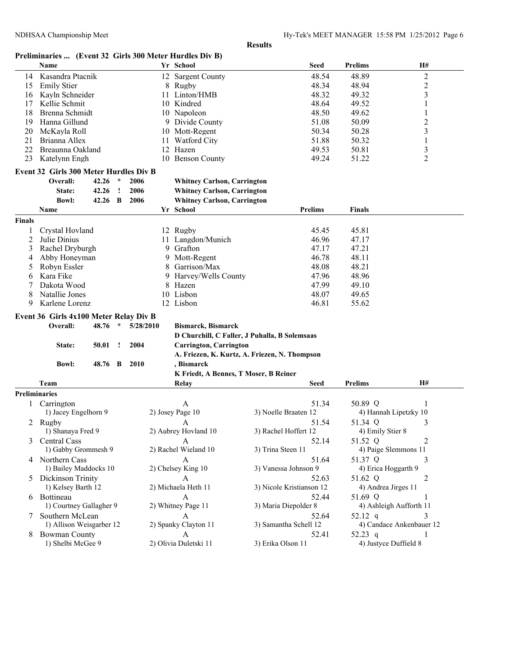| Preliminaries  (Event 32 Girls 300 Meter Hurdles Div B) |  |  |  |
|---------------------------------------------------------|--|--|--|
|                                                         |  |  |  |

|                      | Name                                                                          |           | Yr School                             |                                               | <b>Seed</b>    | <b>Prelims</b>        | H#                       |
|----------------------|-------------------------------------------------------------------------------|-----------|---------------------------------------|-----------------------------------------------|----------------|-----------------------|--------------------------|
| 14                   | Kasandra Ptacnik                                                              |           | 12 Sargent County                     |                                               | 48.54          | 48.89                 | $\overline{\mathbf{c}}$  |
| 15                   | <b>Emily Stier</b>                                                            |           | 8 Rugby                               |                                               | 48.34          | 48.94                 | $\overline{c}$           |
| 16                   | Kayln Schneider                                                               | 11        | Linton/HMB                            |                                               | 48.32          | 49.32                 | 3                        |
| 17                   | Kellie Schmit                                                                 |           | 10 Kindred                            |                                               | 48.64          | 49.52                 | 1                        |
| 18                   | Brenna Schmidt                                                                |           | 10 Napoleon                           |                                               | 48.50          | 49.62                 | 1                        |
| 19                   | Hanna Gillund                                                                 |           | 9 Divide County                       |                                               | 51.08          | 50.09                 | 2                        |
| 20                   | McKayla Roll                                                                  |           | 10 Mott-Regent                        |                                               | 50.34          | 50.28                 | 3                        |
| 21                   | Brianna Allex                                                                 |           | 11 Watford City                       |                                               | 51.88          | 50.32                 | 1                        |
| 22                   | Breaunna Oakland                                                              |           | 12 Hazen                              |                                               | 49.53          | 50.81                 | 3                        |
| 23                   | Katelynn Engh                                                                 |           | 10 Benson County                      |                                               | 49.24          | 51.22                 | $\overline{c}$           |
|                      |                                                                               |           |                                       |                                               |                |                       |                          |
|                      | <b>Event 32 Girls 300 Meter Hurdles Div B</b><br>Overall:<br>42.26<br>$\star$ | 2006      | <b>Whitney Carlson, Carrington</b>    |                                               |                |                       |                          |
|                      |                                                                               |           |                                       |                                               |                |                       |                          |
|                      | 42.26<br>State:<br><u>!</u>                                                   | 2006      | <b>Whitney Carlson, Carrington</b>    |                                               |                |                       |                          |
|                      | 42.26 B<br><b>Bowl:</b>                                                       | 2006      | <b>Whitney Carlson, Carrington</b>    |                                               |                |                       |                          |
|                      | Name                                                                          |           | Yr School                             |                                               | <b>Prelims</b> | Finals                |                          |
| Finals               |                                                                               |           |                                       |                                               |                |                       |                          |
| 1                    | Crystal Hovland                                                               |           | 12 Rugby                              |                                               | 45.45          | 45.81                 |                          |
| 2                    | Julie Dinius                                                                  |           | 11 Langdon/Munich                     |                                               | 46.96          | 47.17                 |                          |
| 3                    | Rachel Dryburgh                                                               |           | 9 Grafton                             |                                               | 47.17          | 47.21                 |                          |
| 4                    | Abby Honeyman                                                                 |           | 9 Mott-Regent                         |                                               | 46.78          | 48.11                 |                          |
| 5                    | Robyn Essler                                                                  | 8         | Garrison/Max                          |                                               | 48.08          | 48.21                 |                          |
| 6                    | Kara Fike                                                                     |           | 9 Harvey/Wells County                 |                                               | 47.96          | 48.96                 |                          |
| 7                    | Dakota Wood                                                                   |           | 8 Hazen                               |                                               | 47.99          | 49.10                 |                          |
| 8                    | Natallie Jones                                                                |           | 10 Lisbon                             |                                               | 48.07          | 49.65                 |                          |
| 9                    | Karlene Lorenz                                                                |           | 12 Lisbon                             |                                               | 46.81          | 55.62                 |                          |
|                      | Event 36 Girls 4x100 Meter Relay Div B                                        |           |                                       |                                               |                |                       |                          |
|                      | Overall:<br>48.76<br>$\star$                                                  | 5/28/2010 | <b>Bismarck, Bismarck</b>             |                                               |                |                       |                          |
|                      |                                                                               |           |                                       |                                               |                |                       |                          |
|                      |                                                                               |           |                                       | D Churchill, C Faller, J Puhalla, B Solemsaas |                |                       |                          |
|                      | 50.01<br>State:<br>$\mathbf{I}$                                               | 2004      | <b>Carrington, Carrington</b>         |                                               |                |                       |                          |
|                      |                                                                               |           |                                       | A. Friezen, K. Kurtz, A. Friezen, N. Thompson |                |                       |                          |
|                      | <b>Bowl:</b><br>48.76 B                                                       | - 2010    | , Bismarck                            |                                               |                |                       |                          |
|                      |                                                                               |           | K Friedt, A Bennes, T Moser, B Reiner |                                               |                |                       |                          |
|                      | Team                                                                          |           | Relay                                 |                                               | Seed           | <b>Prelims</b>        | <b>H#</b>                |
| <b>Preliminaries</b> |                                                                               |           |                                       |                                               |                |                       |                          |
|                      | 1 Carrington                                                                  |           | A                                     |                                               | 51.34          | 50.89 Q               | 1                        |
|                      | 1) Jacey Engelhorn 9                                                          |           | 2) Josey Page 10                      | 3) Noelle Braaten 12                          |                |                       | 4) Hannah Lipetzky 10    |
|                      | 2 Rugby                                                                       |           | A                                     |                                               | 51.54          | 51.34 Q               | 3                        |
|                      | 1) Shanaya Fred 9                                                             |           | 2) Aubrey Hovland 10                  | 3) Rachel Hoffert 12                          |                | 4) Emily Stier 8      |                          |
| 3                    | Central Cass                                                                  |           | A                                     |                                               | 52.14          | 51.52 Q               | 2                        |
|                      | 1) Gabby Grommesh 9                                                           |           | 2) Rachel Wieland 10                  | 3) Trina Steen 11                             |                |                       | 4) Paige Slemmons 11     |
|                      | 4 Northern Cass                                                               |           | A                                     |                                               | 51.64          | 51.37 Q               | 3                        |
|                      | 1) Bailey Maddocks 10                                                         |           | 2) Chelsey King 10                    | 3) Vanessa Johnson 9                          |                | 4) Erica Hoggarth 9   |                          |
|                      | 5 Dickinson Trinity                                                           |           | $\mathbf{A}$                          |                                               | 52.63          | 51.62 Q               | 2                        |
|                      | 1) Kelsey Barth 12                                                            |           | 2) Michaela Heth 11                   | 3) Nicole Kristianson 12                      |                | 4) Andrea Jirges 11   |                          |
|                      | 6 Bottineau                                                                   |           | $\mathbf{A}$                          |                                               | 52.44          | 51.69 Q               | 1                        |
|                      | 1) Courtney Gallagher 9                                                       |           | 2) Whitney Page 11                    | 3) Maria Diepolder 8                          |                |                       | 4) Ashleigh Aufforth 11  |
|                      | 7 Southern McLean                                                             |           | A                                     |                                               | 52.64          | 52.12 q               | 3                        |
|                      | 1) Allison Weisgarber 12                                                      |           | 2) Spanky Clayton 11                  | 3) Samantha Schell 12                         |                |                       | 4) Candace Ankenbauer 12 |
|                      | 8 Bowman County                                                               |           | A                                     |                                               | 52.41          | 52.23 q               |                          |
|                      | 1) Shelbi McGee 9                                                             |           | 2) Olivia Duletski 11                 | 3) Erika Olson 11                             |                | 4) Justyce Duffield 8 | 1                        |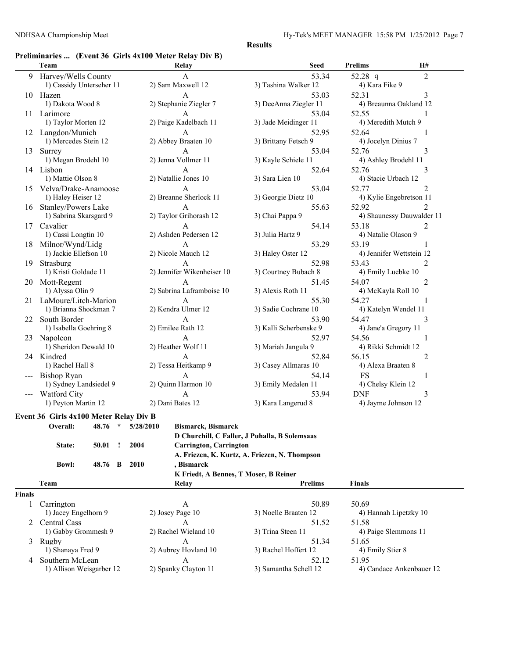## **Preliminaries ... (Event 36 Girls 4x100 Meter Relay Div B)**

|    | Team                                   |           | Relay                                                                   | <b>Seed</b>                                   |                | Prelims             | <b>H#</b>                 |  |
|----|----------------------------------------|-----------|-------------------------------------------------------------------------|-----------------------------------------------|----------------|---------------------|---------------------------|--|
| 9  | Harvey/Wells County                    |           | A                                                                       |                                               | 53.34          | 52.28 $q$           | $\overline{2}$            |  |
|    | 1) Cassidy Unterseher 11               |           | 2) Sam Maxwell 12                                                       | 3) Tashina Walker 12                          |                | 4) Kara Fike 9      |                           |  |
|    | 10 Hazen                               |           | A                                                                       |                                               | 53.03          | 52.31               | 3                         |  |
|    | 1) Dakota Wood 8                       |           | 2) Stephanie Ziegler 7                                                  | 3) DeeAnna Ziegler 11                         |                |                     | 4) Breaunna Oakland 12    |  |
|    | 11 Larimore                            |           | A                                                                       |                                               | 53.04          | 52.55               | 1                         |  |
|    | 1) Taylor Morten 12                    |           | 2) Paige Kadelbach 11                                                   | 3) Jade Meidinger 11                          |                |                     | 4) Meredith Mutch 9       |  |
|    | 12 Langdon/Munich                      |           | A                                                                       |                                               | 52.95          | 52.64               | 1                         |  |
|    | 1) Mercedes Stein 12                   |           | 2) Abbey Braaten 10                                                     | 3) Brittany Fetsch 9                          |                | 4) Jocelyn Dinius 7 |                           |  |
|    | 13 Surrey                              |           | A                                                                       |                                               | 53.04          | 52.76<br>3          |                           |  |
|    | 1) Megan Brodehl 10                    |           | 2) Jenna Vollmer 11                                                     | 3) Kayle Schiele 11                           |                |                     | 4) Ashley Brodehl 11      |  |
|    | 14 Lisbon                              |           | A                                                                       |                                               | 52.64          | 52.76               | 3                         |  |
|    | 1) Mattie Olson 8                      |           | 2) Natallie Jones 10                                                    | 3) Sara Lien 10                               |                | 4) Stacie Urbach 12 |                           |  |
|    | 15 Velva/Drake-Anamoose                |           | A                                                                       |                                               | 53.04          | 52.77               | 2                         |  |
|    | 1) Haley Heiser 12                     |           | 2) Breanne Sherlock 11                                                  | 3) Georgie Dietz 10                           |                |                     | 4) Kylie Engebretson 11   |  |
| 16 | <b>Stanley/Powers Lake</b>             |           | A                                                                       |                                               | 55.63          | 52.92               | 2                         |  |
|    | 1) Sabrina Skarsgard 9                 |           | 2) Taylor Grihorash 12                                                  | 3) Chai Pappa 9                               |                |                     | 4) Shaunessy Dauwalder 11 |  |
|    | 17 Cavalier                            |           | A                                                                       |                                               | 54.14          | 53.18               | $\overline{2}$            |  |
|    | 1) Cassi Longtin 10                    |           | 2) Ashden Pedersen 12                                                   | 3) Julia Hartz 9                              |                | 4) Natalie Olason 9 |                           |  |
| 18 | Milnor/Wynd/Lidg                       |           | A                                                                       |                                               | 53.29          | 53.19               | 1                         |  |
|    | 1) Jackie Ellefson 10                  |           | 2) Nicole Mauch 12                                                      | 3) Haley Oster 12                             |                |                     | 4) Jennifer Wettstein 12  |  |
| 19 | Strasburg                              |           | A                                                                       |                                               | 52.98          | 53.43               | 2                         |  |
|    | 1) Kristi Goldade 11                   |           | 2) Jennifer Wikenheiser 10                                              | 3) Courtney Bubach 8                          |                | 4) Emily Luebke 10  |                           |  |
| 20 | Mott-Regent                            |           | A                                                                       |                                               | 51.45          | 54.07               | 2                         |  |
|    | 1) Alyssa Olin 9                       |           | 2) Sabrina Laframboise 10                                               | 3) Alexis Roth 11                             |                | 4) McKayla Roll 10  |                           |  |
|    | 21 LaMoure/Litch-Marion                |           | A                                                                       |                                               | 55.30          | 54.27               | 1                         |  |
|    | 1) Brianna Shockman 7                  |           | 2) Kendra Ulmer 12                                                      | 3) Sadie Cochrane 10                          |                |                     | 4) Katelyn Wendel 11      |  |
| 22 | South Border                           |           | A                                                                       |                                               | 54.47<br>53.90 |                     | 3                         |  |
|    | 1) Isabella Goehring 8                 |           | 2) Emilee Rath 12                                                       | 3) Kalli Scherbenske 9                        |                |                     | 4) Jane'a Gregory 11      |  |
|    | 23 Napoleon                            |           | A                                                                       |                                               | 52.97          | 54.56               | 1                         |  |
|    | 1) Sheridon Dewald 10                  |           | 2) Heather Wolf 11                                                      | 3) Mariah Jangula 9                           |                |                     | 4) Rikki Schmidt 12       |  |
|    | 24 Kindred                             |           | A                                                                       |                                               | 52.84          | 56.15               | $\overline{2}$            |  |
|    | 1) Rachel Hall 8                       |           | 2) Tessa Heitkamp 9                                                     | 3) Casey Allmaras 10                          |                | 4) Alexa Braaten 8  |                           |  |
|    | Bishop Ryan                            |           | A                                                                       |                                               | 54.14          | <b>FS</b>           | 1                         |  |
|    | 1) Sydney Landsiedel 9                 |           | 2) Ouinn Harmon 10                                                      | 3) Emily Medalen 11                           |                | 4) Chelsy Klein 12  |                           |  |
|    | --- Watford City                       |           | A                                                                       |                                               | 53.94          | <b>DNF</b>          | 3                         |  |
|    | 1) Peyton Martin 12                    |           | 2) Dani Bates 12                                                        | 3) Kara Langerud 8                            |                |                     | 4) Jayme Johnson 12       |  |
|    | Event 36 Girls 4x100 Meter Relay Div B |           |                                                                         |                                               |                |                     |                           |  |
|    | Overall:<br>$\star$<br>48.76           | 5/28/2010 | <b>Bismarck, Bismarck</b>                                               |                                               |                |                     |                           |  |
|    |                                        |           |                                                                         | D Churchill, C Faller, J Puhalla, B Solemsaas |                |                     |                           |  |
|    | State:<br>50.01<br>Ţ                   | 2004      | <b>Carrington, Carrington</b>                                           |                                               |                |                     |                           |  |
|    |                                        |           |                                                                         | A. Friezen, K. Kurtz, A. Friezen, N. Thompson |                |                     |                           |  |
|    | 48.76 B<br><b>Bowl:</b>                | 2010      | , Bismarck                                                              |                                               |                |                     |                           |  |
|    |                                        |           |                                                                         |                                               |                |                     |                           |  |
|    | Team                                   |           | K Friedt, A Bennes, T Moser, B Reiner<br><b>Relay</b><br><b>Prelims</b> |                                               |                | <b>Finals</b>       |                           |  |
|    |                                        |           |                                                                         |                                               |                |                     |                           |  |

|      | .                        | $-$                  | .                     | .                        |
|------|--------------------------|----------------------|-----------------------|--------------------------|
| nals |                          |                      |                       |                          |
|      | Carrington               |                      | 50.89                 | 50.69                    |
|      | 1) Jacey Engelhorn 9     | $2)$ Josey Page 10   | 3) Noelle Braaten 12  | 4) Hannah Lipetzky 10    |
|      | 2 Central Cass           |                      | 51.52                 | 51.58                    |
|      | 1) Gabby Grommesh 9      | 2) Rachel Wieland 10 | 3) Trina Steen 11     | 4) Paige Slemmons 11     |
|      | Rugby                    |                      | 51.34                 | 51.65                    |
|      | 1) Shanaya Fred 9        | 2) Aubrey Hovland 10 | 3) Rachel Hoffert 12  | 4) Emily Stier 8         |
| 4    | Southern McLean          |                      | 52.12                 | 51.95                    |
|      | 1) Allison Weisgarber 12 | 2) Spanky Clayton 11 | 3) Samantha Schell 12 | 4) Candace Ankenbauer 12 |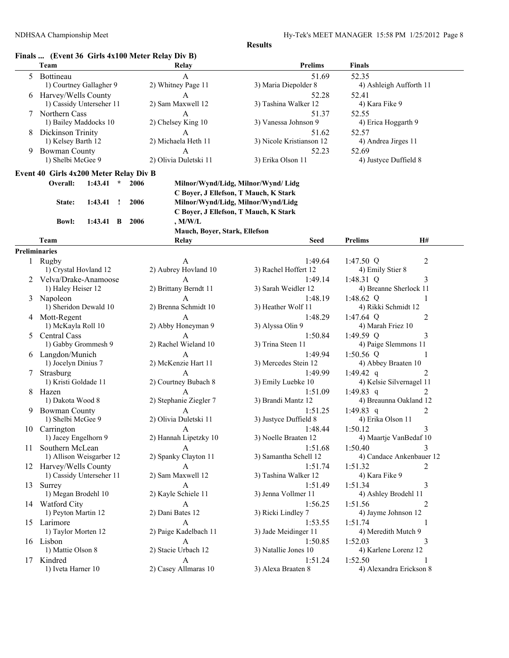#### **Finals ... (Event 36 Girls 4x100 Meter Relay Div B)**

|    | Team                                   |                   |         |      | Relay                         | <b>Prelims</b>                        | <b>Finals</b>                              |  |
|----|----------------------------------------|-------------------|---------|------|-------------------------------|---------------------------------------|--------------------------------------------|--|
|    | 5 Bottineau                            |                   |         |      | A                             | 51.69                                 | 52.35                                      |  |
|    | 1) Courtney Gallagher 9                |                   |         |      | 2) Whitney Page 11            | 3) Maria Diepolder 8                  | 4) Ashleigh Aufforth 11                    |  |
|    | 6 Harvey/Wells County                  |                   |         |      | A                             | 52.28                                 | 52.41                                      |  |
|    | 1) Cassidy Unterseher 11               |                   |         |      | 2) Sam Maxwell 12             | 3) Tashina Walker 12                  | 4) Kara Fike 9                             |  |
| 7  | Northern Cass                          |                   |         |      | A                             | 51.37                                 | 52.55                                      |  |
|    | 1) Bailey Maddocks 10                  |                   |         |      | 2) Chelsey King 10            | 3) Vanessa Johnson 9                  | 4) Erica Hoggarth 9                        |  |
| 8  | Dickinson Trinity                      |                   |         |      | $\mathbf{A}$                  | 51.62                                 | 52.57                                      |  |
|    | 1) Kelsey Barth 12                     |                   |         |      | 2) Michaela Heth 11           | 3) Nicole Kristianson 12              | 4) Andrea Jirges 11                        |  |
| 9  | <b>Bowman County</b>                   |                   |         |      | A                             | 52.23                                 | 52.69                                      |  |
|    | 1) Shelbi McGee 9                      |                   |         |      | 2) Olivia Duletski 11         | 3) Erika Olson 11                     | 4) Justyce Duffield 8                      |  |
|    | Event 40 Girls 4x200 Meter Relay Div B |                   |         |      |                               |                                       |                                            |  |
|    | Overall:                               | 1:43.41           | $\star$ | 2006 |                               | Milnor/Wynd/Lidg, Milnor/Wynd/Lidg    |                                            |  |
|    |                                        |                   |         |      |                               | C Boyer, J Ellefson, T Mauch, K Stark |                                            |  |
|    | State:                                 | 1:43.41           | $\cdot$ | 2006 |                               | Milnor/Wynd/Lidg, Milnor/Wynd/Lidg    |                                            |  |
|    |                                        |                   |         |      |                               | C Boyer, J Ellefson, T Mauch, K Stark |                                            |  |
|    | <b>Bowl:</b>                           | $1:43.41 \quad B$ |         | 2006 | $,$ M/W/L                     |                                       |                                            |  |
|    |                                        |                   |         |      | Mauch, Boyer, Stark, Ellefson |                                       |                                            |  |
|    | Team                                   |                   |         |      | Relay                         | <b>Seed</b>                           | <b>Prelims</b><br><b>H#</b>                |  |
|    | <b>Preliminaries</b>                   |                   |         |      |                               |                                       |                                            |  |
|    | 1 Rugby                                |                   |         |      | A                             | 1:49.64                               | 1:47.50 $Q$<br>2                           |  |
|    | 1) Crystal Hovland 12                  |                   |         |      | 2) Aubrey Hovland 10          | 3) Rachel Hoffert 12                  | 4) Emily Stier 8                           |  |
|    | 2 Velva/Drake-Anamoose                 |                   |         |      | A                             | 1:49.14                               | 1:48.31 $Q$<br>3                           |  |
|    | 1) Haley Heiser 12                     |                   |         |      | 2) Brittany Berndt 11         | 3) Sarah Weidler 12                   | 4) Breanne Sherlock 11                     |  |
|    | 3 Napoleon                             |                   |         |      | A                             | 1:48.19                               | 1:48.62 $Q$<br>1                           |  |
|    | 1) Sheridon Dewald 10                  |                   |         |      | 2) Brenna Schmidt 10          | 3) Heather Wolf 11                    | 4) Rikki Schmidt 12                        |  |
|    | 4 Mott-Regent                          |                   |         |      | A                             | 1:48.29                               | 1:47.64 $Q$<br>$\overline{c}$              |  |
|    | 1) McKayla Roll 10                     |                   |         |      | 2) Abby Honeyman 9            | 3) Alyssa Olin 9                      | 4) Marah Friez 10                          |  |
| 5  | Central Cass                           |                   |         |      | A                             | 1:50.84                               | 1:49.59 $Q$<br>3                           |  |
|    | 1) Gabby Grommesh 9                    |                   |         |      | 2) Rachel Wieland 10          | 3) Trina Steen 11                     | 4) Paige Slemmons 11                       |  |
|    | 6 Langdon/Munich                       |                   |         |      | A                             | 1:49.94                               | 1:50.56 $Q$<br>1                           |  |
|    | 1) Jocelyn Dinius 7                    |                   |         |      | 2) McKenzie Hart 11           | 3) Mercedes Stein 12                  | 4) Abbey Braaten 10                        |  |
|    | Strasburg<br>1) Kristi Goldade 11      |                   |         |      | A<br>2) Courtney Bubach 8     | 1:49.99<br>3) Emily Luebke 10         | 1:49.42 q<br>2<br>4) Kelsie Silvernagel 11 |  |
|    | 8 Hazen                                |                   |         |      | A                             | 1:51.09                               | 1:49.83 q<br>2                             |  |
|    | 1) Dakota Wood 8                       |                   |         |      | 2) Stephanie Ziegler 7        | 3) Brandi Mantz 12                    | 4) Breaunna Oakland 12                     |  |
| 9. | <b>Bowman County</b>                   |                   |         |      | A                             | 1:51.25                               | 1:49.83 q<br>2                             |  |
|    | 1) Shelbi McGee 9                      |                   |         |      | 2) Olivia Duletski 11         | 3) Justyce Duffield 8                 | 4) Erika Olson 11                          |  |
|    | 10 Carrington                          |                   |         |      | A                             | 1:48.44                               | 1:50.12<br>3                               |  |
|    | 1) Jacey Engelhorn 9                   |                   |         |      | 2) Hannah Lipetzky 10         | 3) Noelle Braaten 12                  | 4) Maartje VanBedaf 10                     |  |
|    | 11 Southern McLean                     |                   |         |      | A                             | 1:51.68                               | 1:50.40<br>3                               |  |
|    | 1) Allison Weisgarber 12               |                   |         |      | 2) Spanky Clayton 11          | 3) Samantha Schell 12                 | 4) Candace Ankenbauer 12                   |  |
|    | 12 Harvey/Wells County                 |                   |         |      | A                             | 1:51.74                               | 1:51.32<br>2                               |  |
|    | 1) Cassidy Unterseher 11               |                   |         |      | 2) Sam Maxwell 12             | 3) Tashina Walker 12                  | 4) Kara Fike 9                             |  |
|    | 13 Surrey                              |                   |         |      | A                             | 1:51.49                               | 1:51.34<br>3                               |  |
|    | 1) Megan Brodehl 10                    |                   |         |      | 2) Kayle Schiele 11           | 3) Jenna Vollmer 11                   | 4) Ashley Brodehl 11                       |  |
|    | 14 Watford City                        |                   |         |      | A                             | 1:56.25                               | 1:51.56<br>2                               |  |
|    | 1) Peyton Martin 12                    |                   |         |      | 2) Dani Bates 12              | 3) Ricki Lindley 7                    | 4) Jayme Johnson 12                        |  |
|    | 15 Larimore                            |                   |         |      | A                             | 1:53.55                               | 1:51.74<br>1                               |  |
|    | 1) Taylor Morten 12                    |                   |         |      | 2) Paige Kadelbach 11         | 3) Jade Meidinger 11                  | 4) Meredith Mutch 9                        |  |
|    | 16 Lisbon                              |                   |         |      | A                             | 1:50.85                               | 1:52.03<br>3                               |  |
|    | 1) Mattie Olson 8                      |                   |         |      | 2) Stacie Urbach 12           | 3) Natallie Jones 10                  | 4) Karlene Lorenz 12                       |  |
|    | 17 Kindred                             |                   |         |      | A                             | 1:51.24                               | 1:52.50                                    |  |
|    | 1) Iveta Harner 10                     |                   |         |      | 2) Casey Allmaras 10          | 3) Alexa Braaten 8                    | 4) Alexandra Erickson 8                    |  |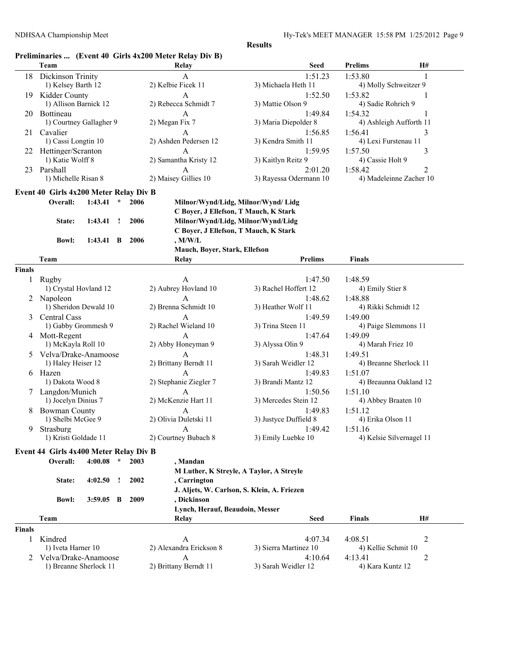### **Preliminaries ... (Event 40 Girls 4x200 Meter Relay Div B)**

|               | Team                                               |                   |         |      | Commancs $$ (EVCRT) TO UP 3 TAZVO MUUT IWAY DIY DJ<br>Relay | <b>Seed</b>                                 | <b>Prelims</b>         | H#                       |
|---------------|----------------------------------------------------|-------------------|---------|------|-------------------------------------------------------------|---------------------------------------------|------------------------|--------------------------|
|               | 18 Dickinson Trinity                               |                   |         |      | A                                                           | 1:51.23                                     | 1:53.80                | 1                        |
|               | 1) Kelsey Barth 12                                 |                   |         |      | 2) Kelbie Ficek 11                                          | 3) Michaela Heth 11                         | 4) Molly Schweitzer 9  |                          |
| 19            | Kidder County                                      |                   |         |      | A                                                           | 1:52.50                                     | 1:53.82                | 1                        |
|               | 1) Allison Barnick 12                              |                   |         |      | 2) Rebecca Schmidt 7                                        | 3) Mattie Olson 9                           | 4) Sadie Rohrich 9     |                          |
| 20            | Bottineau                                          |                   |         |      | A                                                           | 1:49.84                                     | 1:54.32                |                          |
|               | 1) Courtney Gallagher 9                            |                   |         |      | 2) Megan Fix 7                                              | 3) Maria Diepolder 8                        |                        | 4) Ashleigh Aufforth 11  |
|               | 21 Cavalier                                        |                   |         |      | A                                                           | 1:56.85                                     | 1:56.41                | 3                        |
|               | 1) Cassi Longtin 10                                |                   |         |      | 2) Ashden Pedersen 12                                       | 3) Kendra Smith 11                          | 4) Lexi Furstenau 11   |                          |
|               | 22 Hettinger/Scranton                              |                   |         |      | A                                                           | 1:59.95                                     | 1:57.50                | 3                        |
|               | 1) Katie Wolff 8                                   |                   |         |      | 2) Samantha Kristy 12                                       | 3) Kaitlyn Reitz 9                          | 4) Cassie Holt 9       |                          |
|               | 23 Parshall                                        |                   |         |      | A                                                           | 2:01.20                                     | 1:58.42                | 2                        |
|               | 1) Michelle Risan 8                                |                   |         |      | 2) Maisey Gillies 10                                        | 3) Rayessa Odermann 10                      |                        | 4) Madeleinne Zacher 10  |
|               |                                                    |                   |         |      |                                                             |                                             |                        |                          |
|               | Event 40 Girls 4x200 Meter Relay Div B<br>Overall: | 1:43.41           | $\star$ | 2006 |                                                             | Milnor/Wynd/Lidg, Milnor/Wynd/Lidg          |                        |                          |
|               |                                                    |                   |         |      | C Boyer, J Ellefson, T Mauch, K Stark                       |                                             |                        |                          |
|               |                                                    | 1:43.41           |         | 2006 | Milnor/Wynd/Lidg, Milnor/Wynd/Lidg                          |                                             |                        |                          |
|               | State:                                             |                   | $\cdot$ |      |                                                             |                                             |                        |                          |
|               |                                                    |                   |         |      | C Boyer, J Ellefson, T Mauch, K Stark                       |                                             |                        |                          |
|               | <b>Bowl:</b>                                       | $1:43.41 \quad B$ |         | 2006 | , M/W/L<br>Mauch, Boyer, Stark, Ellefson                    |                                             |                        |                          |
|               | Team                                               |                   |         |      | Relay                                                       | <b>Prelims</b>                              | Finals                 |                          |
| <b>Finals</b> |                                                    |                   |         |      |                                                             |                                             |                        |                          |
| 1             | Rugby                                              |                   |         |      | A                                                           | 1:47.50                                     | 1:48.59                |                          |
|               | 1) Crystal Hovland 12                              |                   |         |      | 2) Aubrey Hovland 10                                        | 3) Rachel Hoffert 12                        | 4) Emily Stier 8       |                          |
|               | 2 Napoleon                                         |                   |         |      | A                                                           | 1:48.62                                     | 1:48.88                |                          |
|               | 1) Sheridon Dewald 10                              |                   |         |      | 2) Brenna Schmidt 10                                        | 3) Heather Wolf 11                          | 4) Rikki Schmidt 12    |                          |
| 3             | Central Cass                                       |                   |         |      | A                                                           | 1:49.59                                     | 1:49.00                |                          |
|               | 1) Gabby Grommesh 9                                |                   |         |      | 2) Rachel Wieland 10                                        | 3) Trina Steen 11                           | 4) Paige Slemmons 11   |                          |
|               | 4 Mott-Regent                                      |                   |         |      | A                                                           | 1:47.64                                     | 1:49.09                |                          |
|               | 1) McKayla Roll 10                                 |                   |         |      | 2) Abby Honeyman 9                                          | 3) Alyssa Olin 9                            | 4) Marah Friez 10      |                          |
| 5.            | Velva/Drake-Anamoose                               |                   |         |      | A                                                           | 1:48.31                                     | 1:49.51                |                          |
|               | 1) Haley Heiser 12                                 |                   |         |      | 2) Brittany Berndt 11                                       | 3) Sarah Weidler 12                         | 4) Breanne Sherlock 11 |                          |
|               | 6 Hazen                                            |                   |         |      | A                                                           | 1:49.83                                     | 1:51.07                |                          |
|               | 1) Dakota Wood 8                                   |                   |         |      | 2) Stephanie Ziegler 7                                      | 3) Brandi Mantz 12                          |                        | 4) Breaunna Oakland 12   |
|               | 7 Langdon/Munich                                   |                   |         |      | A                                                           | 1:50.56                                     | 1:51.10                |                          |
|               | 1) Jocelyn Dinius 7                                |                   |         |      | 2) McKenzie Hart 11                                         | 3) Mercedes Stein 12                        | 4) Abbey Braaten 10    |                          |
| 8             | <b>Bowman County</b>                               |                   |         |      | A                                                           | 1:49.83                                     | 1:51.12                |                          |
|               | 1) Shelbi McGee 9                                  |                   |         |      | 2) Olivia Duletski 11                                       | 3) Justyce Duffield 8                       | 4) Erika Olson 11      |                          |
|               | 9 Strasburg                                        |                   |         |      | $\Delta$                                                    | 1:49.42                                     | 1:51.16                |                          |
|               | 1) Kristi Goldade 11                               |                   |         |      | 2) Courtney Bubach 8                                        | 3) Emily Luebke 10                          |                        | 4) Kelsie Silvernagel 11 |
|               |                                                    |                   |         |      |                                                             |                                             |                        |                          |
|               | Event 44 Girls 4x400 Meter Relay Div B             |                   |         |      |                                                             |                                             |                        |                          |
|               | Overall:                                           | 4:00.08           | $\star$ | 2003 | , Mandan                                                    |                                             |                        |                          |
|               |                                                    |                   |         |      |                                                             | M Luther, K Streyle, A Taylor, A Streyle    |                        |                          |
|               | State:                                             | 4:02.50           | л.      | 2002 | , Carrington                                                |                                             |                        |                          |
|               |                                                    |                   |         |      |                                                             | J. Aljets, W. Carlson, S. Klein, A. Friezen |                        |                          |
|               | <b>Bowl:</b>                                       | $3:59.05$ B       |         | 2009 | , Dickinson                                                 |                                             |                        |                          |
|               |                                                    |                   |         |      | Lynch, Herauf, Beaudoin, Messer                             |                                             |                        |                          |
|               | Team                                               |                   |         |      | Relay                                                       | Seed                                        | <b>Finals</b>          | H#                       |
| <b>Finals</b> |                                                    |                   |         |      |                                                             |                                             |                        |                          |
| 1             | Kindred                                            |                   |         |      | A                                                           | 4:07.34                                     | 4:08.51                | 2                        |
|               | 1) Iveta Harner 10                                 |                   |         |      | 2) Alexandra Erickson 8                                     | 3) Sierra Martinez 10                       | 4) Kellie Schmit 10    |                          |
|               | Velva/Drake-Anamoose                               |                   |         |      | A                                                           | 4:10.64                                     | 4:13.41                | 2                        |
|               | 1) Breanne Sherlock 11                             |                   |         |      | 2) Brittany Berndt 11                                       | 3) Sarah Weidler 12                         | 4) Kara Kuntz 12       |                          |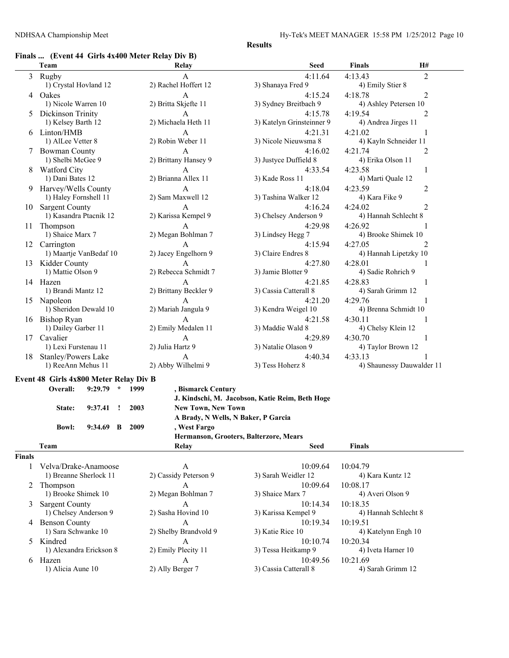## **Finals ... (Event 44 Girls 4x400 Meter Relay Div B)**

|        | $\Gamma$ mais  (EVERT 44 GRTs 4x400 Meter Keiay DIV D) |                                     |                                                 |                           |                |
|--------|--------------------------------------------------------|-------------------------------------|-------------------------------------------------|---------------------------|----------------|
|        | Team                                                   | Relay                               | Seed                                            | <b>Finals</b><br>H#       |                |
|        | 3 Rugby                                                | A                                   | 4:11.64                                         | 4:13.43                   | 2              |
|        | 1) Crystal Hovland 12                                  | 2) Rachel Hoffert 12                | 3) Shanaya Fred 9                               | 4) Emily Stier 8          |                |
|        | 4 Oakes                                                | A                                   | 4:15.24                                         | 4:18.78                   | 2              |
|        | 1) Nicole Warren 10                                    | 2) Britta Skjefte 11                | 3) Sydney Breitbach 9                           | 4) Ashley Petersen 10     |                |
|        | Dickinson Trinity                                      | A                                   | 4:15.78                                         | 4:19.54                   | 2              |
|        | 1) Kelsey Barth 12                                     | 2) Michaela Heth 11                 | 3) Katelyn Grinsteinner 9                       | 4) Andrea Jirges 11       |                |
|        | 6 Linton/HMB                                           | A                                   | 4:21.31                                         | 4:21.02                   | 1              |
|        | 1) AlLee Vetter 8                                      | 2) Robin Weber 11                   | 3) Nicole Nieuwsma 8                            | 4) Kayln Schneider 11     |                |
|        | <b>Bowman County</b>                                   | A                                   | 4:16.02                                         | 4:21.74                   | 2              |
|        | 1) Shelbi McGee 9                                      | 2) Brittany Hansey 9                | 3) Justyce Duffield 8                           | 4) Erika Olson 11         |                |
| 8      | <b>Watford City</b>                                    | A                                   | 4:33.54                                         | 4:23.58                   | 1              |
|        | 1) Dani Bates 12                                       | 2) Brianna Allex 11                 | 3) Kade Ross 11                                 | 4) Marti Quale 12         |                |
| 9.     | Harvey/Wells County                                    | A                                   | 4:18.04                                         | 4:23.59                   | 2              |
|        | 1) Haley Fornshell 11                                  | 2) Sam Maxwell 12                   | 3) Tashina Walker 12                            | 4) Kara Fike 9            |                |
|        | 10 Sargent County                                      | A                                   | 4:16.24                                         | 4:24.02                   | $\overline{c}$ |
|        | 1) Kasandra Ptacnik 12                                 | 2) Karissa Kempel 9                 | 3) Chelsey Anderson 9                           | 4) Hannah Schlecht 8      |                |
|        | Thompson                                               | A                                   | 4:29.98                                         | 4:26.92                   | 1              |
| 11     | 1) Shaice Marx 7                                       | 2) Megan Bohlman 7                  | 3) Lindsey Hegg 7                               | 4) Brooke Shimek 10       |                |
|        |                                                        |                                     |                                                 |                           |                |
|        | 12 Carrington                                          | A                                   | 4:15.94                                         | 4:27.05                   | 2              |
|        | 1) Maartje VanBedaf 10                                 | 2) Jacey Engelhorn 9                | 3) Claire Endres 8                              | 4) Hannah Lipetzky 10     |                |
|        | 13 Kidder County                                       | A<br>2) Rebecca Schmidt 7           | 4:27.80                                         | 4:28.01                   |                |
|        | 1) Mattie Olson 9                                      |                                     | 3) Jamie Blotter 9                              | 4) Sadie Rohrich 9        |                |
|        | 14 Hazen                                               | A                                   | 4:21.85                                         | 4:28.83                   | 1              |
|        | 1) Brandi Mantz 12                                     | 2) Brittany Beckler 9               | 3) Cassia Catterall 8                           | 4) Sarah Grimm 12         |                |
|        | 15 Napoleon                                            | A                                   | 4:21.20                                         | 4:29.76                   | 1              |
|        | 1) Sheridon Dewald 10                                  | 2) Mariah Jangula 9                 | 3) Kendra Weigel 10                             | 4) Brenna Schmidt 10      |                |
|        | 16 Bishop Ryan                                         | A                                   | 4:21.58                                         | 4:30.11                   | 1              |
|        | 1) Dailey Garber 11                                    | 2) Emily Medalen 11                 | 3) Maddie Wald 8                                | 4) Chelsy Klein 12        |                |
|        | 17 Cavalier                                            | A                                   | 4:29.89                                         | 4:30.70                   | 1              |
|        | 1) Lexi Furstenau 11                                   | 2) Julia Hartz 9                    | 3) Natalie Olason 9                             | 4) Taylor Brown 12        |                |
|        | 18 Stanley/Powers Lake                                 | A                                   | 4:40.34                                         | 4:33.13                   |                |
|        | 1) ReeAnn Mehus 11                                     | 2) Abby Wilhelmi 9                  | 3) Tess Hoherz 8                                | 4) Shaunessy Dauwalder 11 |                |
|        | Event 48 Girls 4x800 Meter Relay Div B                 |                                     |                                                 |                           |                |
|        | $9:29.79$ * 1999<br>Overall:                           | , Bismarck Century                  |                                                 |                           |                |
|        |                                                        |                                     | J. Kindschi, M. Jacobson, Katie Reim, Beth Hoge |                           |                |
|        | $9:37.41$ !<br>State:                                  | 2003<br><b>New Town, New Town</b>   |                                                 |                           |                |
|        |                                                        | A Brady, N Wells, N Baker, P Garcia |                                                 |                           |                |
|        | $9:34.69$ B<br><b>Bowl:</b>                            | 2009<br>, West Fargo                |                                                 |                           |                |
|        |                                                        |                                     | Hermanson, Grooters, Balterzore, Mears          |                           |                |
|        | Team                                                   | Relay                               | <b>Seed</b>                                     | Finals                    |                |
| Finals |                                                        |                                     |                                                 |                           |                |
| 1      | Velva/Drake-Anamoose                                   | A                                   | 10:09.64                                        | 10:04.79                  |                |
|        | 1) Breanne Sherlock 11                                 | 2) Cassidy Peterson 9               | 3) Sarah Weidler 12                             | 4) Kara Kuntz 12          |                |
| 2      | Thompson                                               | A                                   | 10:09.64                                        | 10:08.17                  |                |
|        | 1) Brooke Shimek 10                                    | 2) Megan Bohlman 7                  | 3) Shaice Marx 7                                | 4) Averi Olson 9          |                |
| 3      | <b>Sargent County</b>                                  | A                                   | 10:14.34                                        | 10:18.35                  |                |
|        | 1) Chelsey Anderson 9                                  | 2) Sasha Hovind 10                  | 3) Karissa Kempel 9                             | 4) Hannah Schlecht 8      |                |
|        | 4 Benson County                                        | A                                   | 10:19.34                                        | 10:19.51                  |                |
|        | 1) Sara Schwanke 10                                    | 2) Shelby Brandvold 9               | 3) Katie Rice 10                                | 4) Katelynn Engh 10       |                |
|        | 5 Kindred                                              | A                                   | 10:10.74                                        | 10:20.34                  |                |
|        | 1) Alexandra Erickson 8                                | 2) Emily Plecity 11                 | 3) Tessa Heitkamp 9                             | 4) Iveta Harner 10        |                |

6 Hazen 10:49.56 10:21.69<br>
1) Alicia Aune 10 2) Ally Berger 7 3) Cassia Catterall 8 4) Sarah Grimm 12

3) Cassia Catterall 8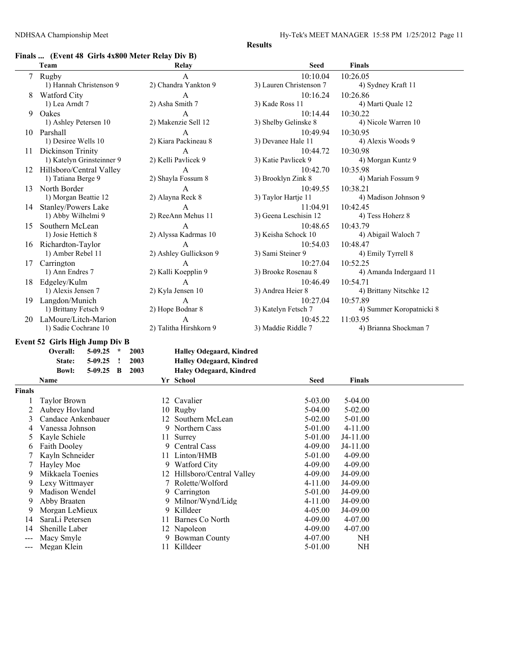## **Finals ... (Event 48 Girls 4x800 Meter Relay Div B)**

|        | Team                                            |                     |                             | Relay                       | <b>Seed</b>                    | <b>Finals</b>                     |
|--------|-------------------------------------------------|---------------------|-----------------------------|-----------------------------|--------------------------------|-----------------------------------|
|        | 7 Rugby                                         |                     |                             | A                           | 10:10.04                       | 10:26.05                          |
|        | 1) Hannah Christenson 9                         |                     |                             | 2) Chandra Yankton 9        | 3) Lauren Christenson 7        | 4) Sydney Kraft 11                |
| 8      | <b>Watford City</b>                             |                     |                             | $\mathsf{A}$                | 10:16.24                       | 10:26.86                          |
|        | 1) Lea Arndt 7                                  |                     |                             | 2) Asha Smith 7             | 3) Kade Ross 11                | 4) Marti Quale 12                 |
| 9      | Oakes                                           |                     |                             | $\mathbf{A}$                | 10:14.44                       | 10:30.22                          |
|        | 1) Ashley Petersen 10                           |                     |                             | 2) Makenzie Sell 12         | 3) Shelby Gelinske 8           | 4) Nicole Warren 10               |
|        | 10 Parshall                                     |                     |                             | $\mathbf{A}$                | 10:49.94                       | 10:30.95                          |
|        | 1) Desiree Wells 10                             |                     |                             | 2) Kiara Packineau 8        | 3) Devanee Hale 11             | 4) Alexis Woods 9                 |
|        | 11 Dickinson Trinity                            |                     |                             | A                           | 10:44.72                       | 10:30.98                          |
|        | 1) Katelyn Grinsteinner 9                       |                     |                             | 2) Kelli Pavlicek 9         | 3) Katie Pavlicek 9            | 4) Morgan Kuntz 9                 |
|        | 12 Hillsboro/Central Valley                     |                     |                             | A                           | 10:42.70                       | 10:35.98                          |
|        | 1) Tatiana Berge 9                              |                     |                             | 2) Shayla Fossum 8          | 3) Brooklyn Zink 8             | 4) Mariah Fossum 9                |
|        | 13 North Border                                 |                     |                             | A                           | 10:49.55                       | 10:38.21                          |
|        | 1) Morgan Beattie 12                            |                     |                             | 2) Alayna Reck 8            | 3) Taylor Hartje 11            | 4) Madison Johnson 9              |
| 14     | Stanley/Powers Lake                             |                     |                             | $\mathbf{A}$                | 11:04.91                       | 10:42.45                          |
|        | 1) Abby Wilhelmi 9                              |                     |                             | 2) ReeAnn Mehus 11          | 3) Geena Leschisin 12          | 4) Tess Hoherz 8                  |
| 15     | Southern McLean                                 |                     |                             | A                           | 10:48.65                       | 10:43.79                          |
|        | 1) Josie Hettich 8                              |                     |                             | 2) Alyssa Kadrmas 10        | 3) Keisha Schock 10            | 4) Abigail Waloch 7               |
|        | 16 Richardton-Taylor                            |                     |                             | A                           | 10:54.03                       | 10:48.47                          |
|        | 1) Amber Rebel 11                               |                     | 2) Ashley Gullickson 9      |                             | 3) Sami Steiner 9              | 4) Emily Tyrrell 8                |
|        | Carrington                                      |                     |                             | A                           | 10:27.04                       | 10:52.25                          |
| 17     | 1) Ann Endres 7                                 | 2) Kalli Koepplin 9 |                             |                             | 3) Brooke Rosenau 8            | 4) Amanda Indergaard 11           |
|        |                                                 | $\mathbf{A}$        |                             |                             |                                |                                   |
| 18     | Edgeley/Kulm                                    |                     | 2) Kyla Jensen 10           |                             | 10:46.49<br>3) Andrea Heier 8  | 10:54.71                          |
|        | 1) Alexis Jensen 7                              |                     |                             |                             |                                | 4) Brittany Nitschke 12           |
|        | 19 Langdon/Munich                               |                     |                             | A                           | 10:27.04                       | 10:57.89                          |
|        | 1) Brittany Fetsch 9                            |                     | 2) Hope Bodnar 8            |                             | 3) Katelyn Fetsch 7            | 4) Summer Koropatnicki 8          |
|        | 20 LaMoure/Litch-Marion<br>1) Sadie Cochrane 10 |                     | A<br>2) Talitha Hirshkorn 9 |                             | 10:45.22<br>3) Maddie Riddle 7 | 11:03.95<br>4) Brianna Shockman 7 |
|        |                                                 |                     |                             |                             |                                |                                   |
|        | Event 52 Girls High Jump Div B                  |                     |                             |                             |                                |                                   |
|        | Overall:<br>$5-09.25$ *                         | 2003                |                             | Halley Odegaard, Kindred    |                                |                                   |
|        | $5-09.25$<br>$\cdot$<br>State:                  | 2003                |                             | Halley Odegaard, Kindred    |                                |                                   |
|        | <b>Bowl:</b><br>$5-09.25$ B                     | 2003                |                             | Haley Odegaard, Kindred     |                                |                                   |
|        | Name                                            |                     |                             | Yr School                   | <b>Seed</b>                    | <b>Finals</b>                     |
| Finals |                                                 |                     |                             |                             |                                |                                   |
| 1      | <b>Taylor Brown</b>                             |                     |                             | 12 Cavalier                 | 5-03.00                        | 5-04.00                           |
| 2      | Aubrey Hovland                                  |                     |                             | 10 Rugby                    | 5-04.00                        | 5-02.00                           |
| 3      | Candace Ankenbauer                              |                     |                             | 12 Southern McLean          | 5-02.00                        | 5-01.00                           |
| 4      | Vanessa Johnson                                 |                     |                             | 9 Northern Cass             | 5-01.00                        | 4-11.00                           |
| 5      | Kayle Schiele                                   |                     |                             | 11 Surrey                   | 5-01.00                        | J4-11.00                          |
| 6      | Faith Dooley                                    |                     | 9                           | Central Cass                | 4-09.00                        | J4-11.00                          |
| 7      | Kayln Schneider                                 |                     |                             | 11 Linton/HMB               | 5-01.00                        | 4-09.00                           |
| 7      | Hayley Moe                                      |                     |                             | 9 Watford City              | 4-09.00                        | 4-09.00                           |
| 9      | Mikkaela Toenies                                |                     |                             | 12 Hillsboro/Central Valley | 4-09.00                        | J4-09.00                          |
| 9      | Lexy Wittmayer                                  |                     |                             | 7 Rolette/Wolford           | 4-11.00                        | J4-09.00                          |
| 9      | Madison Wendel                                  |                     | 9                           | Carrington                  | 5-01.00                        | J4-09.00                          |
| 9      | Abby Braaten                                    |                     | 9                           | Milnor/Wynd/Lidg            | 4-11.00                        | J4-09.00                          |
| 9      | Morgan LeMieux                                  |                     | 9                           | Killdeer                    | 4-05.00                        | J4-09.00                          |
| 14     | SaraLi Petersen                                 |                     |                             | 11 Barnes Co North          | 4-09.00                        | 4-07.00                           |

9 Bowman County  $4-07.00$  NH

- 14 Shenille Laber 12 Napoleon 12 -09.00 4-07.00<br>
-- Macy Smyle 9 Bowman County 4-07.00 NH
- 
- --- Megan Klein 11 Killdeer 5-01.00 NH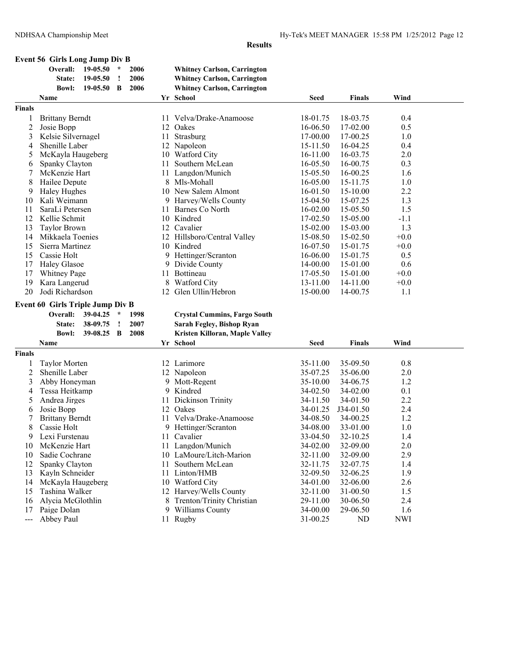**Event 56 Girls Long Jump Div B**

|                | Overall:                                | 19-05.50 | $\star$     | 2006 |    | <b>Whitney Carlson, Carrington</b>  |                      |                |                   |  |
|----------------|-----------------------------------------|----------|-------------|------|----|-------------------------------------|----------------------|----------------|-------------------|--|
|                | State:                                  | 19-05.50 | $\cdot$     | 2006 |    | <b>Whitney Carlson, Carrington</b>  |                      |                |                   |  |
|                | <b>Bowl:</b>                            | 19-05.50 | B           | 2006 |    | <b>Whitney Carlson, Carrington</b>  |                      |                |                   |  |
|                | Name                                    |          |             |      |    | Yr School                           | <b>Seed</b>          | Finals         | Wind              |  |
| Finals         |                                         |          |             |      |    |                                     |                      |                |                   |  |
| 1              | <b>Brittany Berndt</b>                  |          |             |      |    | 11 Velva/Drake-Anamoose             | 18-01.75             | 18-03.75       | 0.4               |  |
| $\overline{c}$ | Josie Bopp                              |          |             |      |    | 12 Oakes                            | 16-06.50             | 17-02.00       | 0.5               |  |
| 3              | Kelsie Silvernagel                      |          |             |      |    | 11 Strasburg                        | 17-00.00             | 17-00.25       | 1.0               |  |
| 4              | Shenille Laber                          |          |             |      |    | 12 Napoleon                         | 15-11.50             | 16-04.25       | 0.4               |  |
| 5              | McKayla Haugeberg                       |          |             |      |    | 10 Watford City                     | 16-11.00             | 16-03.75       | 2.0               |  |
| 6              | Spanky Clayton                          |          |             |      | 11 | Southern McLean                     | 16-05.50             | 16-00.75       | 0.3               |  |
| 7              | McKenzie Hart                           |          |             |      |    | 11 Langdon/Munich                   | 15-05.50             | 16-00.25       | 1.6               |  |
| 8              | Hailee Depute                           |          |             |      |    | 8 Mls-Mohall                        | 16-05.00             | 15-11.75       | 1.0               |  |
| 9              | <b>Haley Hughes</b>                     |          |             |      |    | 10 New Salem Almont                 | 16-01.50             | 15-10.00       | 2.2               |  |
| 10             | Kali Weimann                            |          |             |      |    | 9 Harvey/Wells County               | 15-04.50             | 15-07.25       | 1.3               |  |
| 11             | SaraLi Petersen                         |          |             |      |    | 11 Barnes Co North                  | 16-02.00             | 15-05.50       | 1.5               |  |
| 12             | Kellie Schmit                           |          |             |      |    | 10 Kindred                          | 17-02.50             | 15-05.00       | $-1.1$            |  |
|                |                                         |          |             |      |    | 12 Cavalier                         |                      |                | 1.3               |  |
| 13             | <b>Taylor Brown</b>                     |          |             |      |    |                                     | 15-02.00             | 15-03.00       |                   |  |
| 14             | Mikkaela Toenies                        |          |             |      |    | 12 Hillsboro/Central Valley         | 15-08.50             | 15-02.50       | $+0.0$            |  |
| 15             | Sierra Martinez                         |          |             |      |    | 10 Kindred                          | 16-07.50             | 15-01.75       | $+0.0$            |  |
| 15             | Cassie Holt                             |          |             |      |    | 9 Hettinger/Scranton                | 16-06.00             | 15-01.75       | 0.5               |  |
| 17             | <b>Haley Glasoe</b>                     |          |             |      |    | 9 Divide County                     | 14-00.00             | 15-01.00       | 0.6               |  |
| 17             | <b>Whitney Page</b>                     |          |             |      |    | 11 Bottineau                        | 17-05.50             | 15-01.00       | $+0.0$            |  |
| 19             | Kara Langerud                           |          |             |      | 8  | <b>Watford City</b>                 | 13-11.00             | 14-11.00       | $+0.0$            |  |
| 20             | Jodi Richardson                         |          |             |      |    | 12 Glen Ullin/Hebron                | 15-00.00             | 14-00.75       | 1.1               |  |
|                | <b>Event 60 Girls Triple Jump Div B</b> |          |             |      |    |                                     |                      |                |                   |  |
|                | Overall:                                | 39-04.25 | $\star$     | 1998 |    | <b>Crystal Cummins, Fargo South</b> |                      |                |                   |  |
|                | State:                                  | 38-09.75 | $\cdot$     | 2007 |    | Sarah Fegley, Bishop Ryan           |                      |                |                   |  |
|                | <b>Bowl:</b>                            | 39-08.25 | $\mathbf B$ | 2008 |    | Kristen Killoran, Maple Valley      |                      |                |                   |  |
|                | Name                                    |          |             |      |    | Yr School                           | <b>Seed</b>          | Finals         | Wind              |  |
| Finals         |                                         |          |             |      |    |                                     |                      |                |                   |  |
| 1              | <b>Taylor Morten</b>                    |          |             |      |    | 12 Larimore                         | 35-11.00             | 35-09.50       | 0.8               |  |
| $\overline{2}$ | Shenille Laber                          |          |             |      |    | 12 Napoleon                         | 35-07.25             | 35-06.00       | 2.0               |  |
| 3              | Abby Honeyman                           |          |             |      |    | 9 Mott-Regent                       | 35-10.00             | 34-06.75       | 1.2               |  |
|                | Tessa Heitkamp                          |          |             |      | 9  | Kindred                             |                      | 34-02.00       | 0.1               |  |
| 4<br>5         | Andrea Jirges                           |          |             |      |    |                                     | 34-02.50             |                | 2.2               |  |
|                |                                         |          |             |      | 11 | Dickinson Trinity                   | 34-11.50             | 34-01.50       |                   |  |
| 6              | Josie Bopp                              |          |             |      |    | 12 Oakes                            | 34-01.25             | J34-01.50      | 2.4               |  |
| 7              | <b>Brittany Berndt</b>                  |          |             |      |    | 11 Velva/Drake-Anamoose             | 34-08.50             | 34-00.25       | 1.2               |  |
| 8              | Cassie Holt                             |          |             |      |    | 9 Hettinger/Scranton                | 34-08.00             | 33-01.00       | 1.0               |  |
| 9              | Lexi Furstenau                          |          |             |      |    | 11 Cavalier                         | 33-04.50             | 32-10.25       | 1.4               |  |
| 10             | McKenzie Hart                           |          |             |      |    | 11 Langdon/Munich                   | 34-02.00             | 32-09.00       | 2.0               |  |
| 10             | Sadie Cochrane                          |          |             |      |    | 10 LaMoure/Litch-Marion             | 32-11.00             | 32-09.00       | 2.9               |  |
| 12             | Spanky Clayton                          |          |             |      | 11 | Southern McLean                     | 32-11.75             | 32-07.75       | 1.4               |  |
| 13             | Kayln Schneider                         |          |             |      |    | 11 Linton/HMB                       | 32-09.50             | 32-06.25       | 1.9               |  |
| 14             | McKayla Haugeberg                       |          |             |      |    | 10 Watford City                     | 34-01.00             | 32-06.00       | 2.6               |  |
| 15             |                                         |          |             |      |    |                                     |                      |                |                   |  |
|                | Tashina Walker                          |          |             |      |    | 12 Harvey/Wells County              | 32-11.00             | 31-00.50       | 1.5               |  |
| 16             | Alycia McGlothlin                       |          |             |      |    | 8 Trenton/Trinity Christian         | 29-11.00             | 30-06.50       | 2.4               |  |
| 17             | Paige Dolan<br>Abbey Paul               |          |             |      |    | 9 Williams County<br>11 Rugby       | 34-00.00<br>31-00.25 | 29-06.50<br>ND | 1.6<br><b>NWI</b> |  |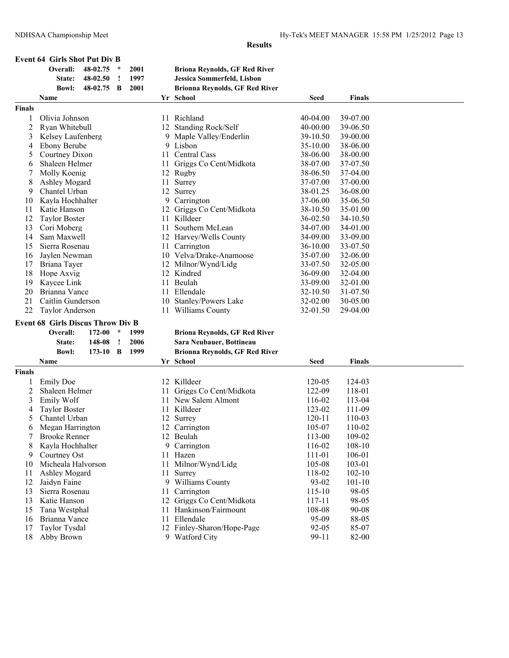| Overall:<br>48-02.75<br>2001<br><b>Briona Reynolds, GF Red River</b><br>$\ast$<br>1997<br>Jessica Sommerfeld, Lisbon<br>48-02.50<br>State:<br>$\cdot$ |                      |                      |  |
|-------------------------------------------------------------------------------------------------------------------------------------------------------|----------------------|----------------------|--|
|                                                                                                                                                       |                      |                      |  |
|                                                                                                                                                       |                      |                      |  |
| 2001<br>48-02.75<br><b>Brionna Reynolds, GF Red River</b><br><b>Bowl:</b><br>B                                                                        |                      |                      |  |
| Yr School<br>Name                                                                                                                                     | <b>Seed</b>          | <b>Finals</b>        |  |
| <b>Finals</b>                                                                                                                                         |                      |                      |  |
| Olivia Johnson<br>11 Richland<br>1                                                                                                                    | 40-04.00             | 39-07.00             |  |
| 2<br>Ryan Whitebull<br>12 Standing Rock/Self                                                                                                          | 40-00.00             | 39-06.50             |  |
| 3<br>Kelsey Laufenberg<br>9 Maple Valley/Enderlin                                                                                                     | 39-10.50             | 39-00.00             |  |
| <b>Ebony Berube</b><br>9 Lisbon<br>4                                                                                                                  | 35-10.00             | 38-06.00             |  |
| Courtney Dixon<br>Central Cass<br>5<br>11.                                                                                                            | 38-06.00             | 38-00.00             |  |
| Shaleen Helmer<br>Griggs Co Cent/Midkota<br>6<br>11.                                                                                                  | 38-07.00             | 37-07.50             |  |
| Molly Koenig<br>12 Rugby<br>7                                                                                                                         | 38-06.50             | 37-04.00             |  |
| 8<br>Surrey<br>Ashley Mogard<br>11                                                                                                                    | 37-07.00             | 37-00.00             |  |
| 9<br>Chantel Urban<br>12 Surrey                                                                                                                       | 38-01.25             | 36-08.00             |  |
| Kayla Hochhalter<br>9 Carrington                                                                                                                      | 37-06.00             | 35-06.50             |  |
| 10<br>Katie Hanson<br>11                                                                                                                              |                      |                      |  |
| Griggs Co Cent/Midkota<br>12<br>Killdeer                                                                                                              | 38-10.50             | 35-01.00             |  |
| 12<br><b>Taylor Boster</b><br>11<br>13<br>Cori Moberg<br>Southern McLean<br>11                                                                        | 36-02.50<br>34-07.00 | 34-10.50<br>34-01.00 |  |
|                                                                                                                                                       |                      |                      |  |
| Sam Maxwell<br>12 Harvey/Wells County<br>14                                                                                                           | 34-09.00             | 33-09.00             |  |
| Sierra Rosenau<br>Carrington<br>15<br>11                                                                                                              | 36-10.00             | 33-07.50             |  |
| 10 Velva/Drake-Anamoose<br>Jaylen Newman<br>16                                                                                                        | 35-07.00             | 32-06.00             |  |
| Briana Tayer<br>17<br>12 Milnor/Wynd/Lidg                                                                                                             | 33-07.50             | 32-05.00             |  |
| 18<br>Hope Axvig<br>12 Kindred                                                                                                                        | 36-09.00             | 32-04.00             |  |
| 19<br>Kaycee Link<br>11 Beulah                                                                                                                        | 33-09.00             | 32-01.00             |  |
| 20<br>Brianna Vance<br>11 Ellendale                                                                                                                   | 32-10.50             | 31-07.50             |  |
| 21<br>Caitlin Gunderson<br>10 Stanley/Powers Lake                                                                                                     | 32-02.00             | 30-05.00             |  |
| 22<br>11 Williams County<br><b>Taylor Anderson</b>                                                                                                    | 32-01.50             | 29-04.00             |  |
| <b>Event 68 Girls Discus Throw Div B</b>                                                                                                              |                      |                      |  |
| Overall:<br>172-00<br>$\star$<br><b>Briona Reynolds, GF Red River</b><br>1999                                                                         |                      |                      |  |
| 148-08<br>2006<br>Sara Neubauer, Bottineau<br>State:<br>$\cdot$                                                                                       |                      |                      |  |
| <b>Bowl:</b><br>B<br>1999<br><b>Brionna Reynolds, GF Red River</b><br>173-10                                                                          |                      |                      |  |
| Name<br>Yr School                                                                                                                                     | Seed                 | <b>Finals</b>        |  |
| <b>Finals</b>                                                                                                                                         |                      |                      |  |
| <b>Emily Doe</b><br>12 Killdeer<br>1                                                                                                                  | 120-05               | 124-03               |  |
| 2<br>Griggs Co Cent/Midkota<br>Shaleen Helmer<br>11                                                                                                   | 122-09               | 118-01               |  |
| Emily Wolf<br>11 New Salem Almont<br>3                                                                                                                | 116-02               | 113-04               |  |
| <b>Taylor Boster</b><br>11 Killdeer<br>4                                                                                                              | 123-02               | 111-09               |  |
| 5<br>Chantel Urban<br>12 Surrey                                                                                                                       | $120 - 11$           | 110-03               |  |
| Megan Harrington<br>12 Carrington<br>6                                                                                                                | 105-07               | 110-02               |  |
| <b>Brooke Renner</b><br>12 Beulah<br>7                                                                                                                | 113-00               | 109-02               |  |
| Kayla Hochhalter<br>9 Carrington<br>8                                                                                                                 | 116-02               | 108-10               |  |
| Courtney Ost<br>Hazen<br>9<br>11                                                                                                                      | 111-01               | 106-01               |  |
| Micheala Halvorson<br>Milnor/Wynd/Lidg<br>11<br>10                                                                                                    | 105-08               | 103-01               |  |
| Ashley Mogard<br>11<br>11<br>Surrey                                                                                                                   | 118-02               | $102 - 10$           |  |
| 12<br>Jaidyn Faine<br>9 Williams County                                                                                                               | 93-02                | $101 - 10$           |  |
| Sierra Rosenau<br>13<br>Carrington<br>11                                                                                                              | 115-10               | 98-05                |  |
|                                                                                                                                                       | 117-11               | 98-05                |  |
|                                                                                                                                                       |                      |                      |  |
| Griggs Co Cent/Midkota<br>13<br>Katie Hanson<br>12                                                                                                    |                      |                      |  |
| Hankinson/Fairmount<br>Tana Westphal<br>15<br>11                                                                                                      | 108-08               | 90-08                |  |
| 11 Ellendale<br>Brianna Vance<br>16<br>12 Finley-Sharon/Hope-Page<br>Taylor Tysdal<br>17                                                              | 95-09<br>$92 - 05$   | 88-05<br>85-07       |  |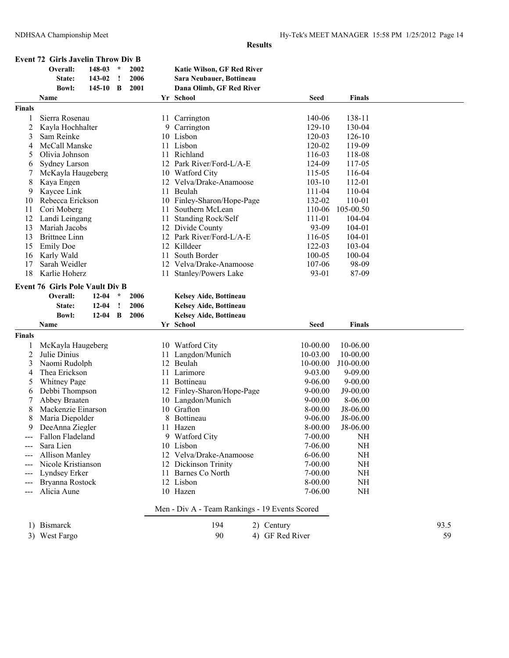**Event 72 Girls Javelin Throw Div B**

|                | Overall:                               | 148-03     | $\ast$  | 2002 |    | Katie Wilson, GF Red River                     |                 |               |      |
|----------------|----------------------------------------|------------|---------|------|----|------------------------------------------------|-----------------|---------------|------|
|                | State:                                 | 143-02     | !       | 2006 |    | Sara Neubauer, Bottineau                       |                 |               |      |
|                | <b>Bowl:</b>                           | $145 - 10$ | B       | 2001 |    | Dana Olimb, GF Red River                       |                 |               |      |
|                | Name                                   |            |         |      |    | Yr School                                      | <b>Seed</b>     | <b>Finals</b> |      |
| Finals         |                                        |            |         |      |    |                                                |                 |               |      |
| 1              | Sierra Rosenau                         |            |         |      |    | 11 Carrington                                  | 140-06          | 138-11        |      |
| $\overline{2}$ | Kayla Hochhalter                       |            |         |      |    | 9 Carrington                                   | 129-10          | 130-04        |      |
| 3              | Sam Reinke                             |            |         |      |    | 10 Lisbon                                      | 120-03          | $126 - 10$    |      |
| 4              | McCall Manske                          |            |         |      |    | 11 Lisbon                                      | 120-02          | 119-09        |      |
| 5              | Olivia Johnson                         |            |         |      | 11 | Richland                                       | 116-03          | 118-08        |      |
| 6              | <b>Sydney Larson</b>                   |            |         |      |    | 12 Park River/Ford-L/A-E                       | 124-09          | 117-05        |      |
|                | McKayla Haugeberg                      |            |         |      |    | 10 Watford City                                | 115-05          | 116-04        |      |
| 8              | Kaya Engen                             |            |         |      |    | 12 Velva/Drake-Anamoose                        | $103 - 10$      | 112-01        |      |
| 9              | Kaycee Link                            |            |         |      |    | 11 Beulah                                      | 111-04          | 110-04        |      |
| 10             | Rebecca Erickson                       |            |         |      |    | 10 Finley-Sharon/Hope-Page                     | 132-02          | 110-01        |      |
| 11             | Cori Moberg                            |            |         |      | 11 | Southern McLean                                | 110-06          | 105-00.50     |      |
| 12             | Landi Leingang                         |            |         |      | 11 | Standing Rock/Self                             | 111-01          | 104-04        |      |
| 13             | Mariah Jacobs                          |            |         |      |    | 12 Divide County                               | 93-09           | 104-01        |      |
| 13             | <b>Brittnee Linn</b>                   |            |         |      |    | 12 Park River/Ford-L/A-E                       | 116-05          | 104-01        |      |
| 15             | <b>Emily Doe</b>                       |            |         |      |    | 12 Killdeer                                    | 122-03          | 103-04        |      |
| 16             | Karly Wald                             |            |         |      | 11 | South Border                                   | 100-05          | 100-04        |      |
| 17             | Sarah Weidler                          |            |         |      |    | 12 Velva/Drake-Anamoose                        | 107-06          | 98-09         |      |
| 18             | Karlie Hoherz                          |            |         |      | 11 | Stanley/Powers Lake                            | 93-01           | 87-09         |      |
|                |                                        |            |         |      |    |                                                |                 |               |      |
|                | <b>Event 76 Girls Pole Vault Div B</b> |            |         |      |    |                                                |                 |               |      |
|                | Overall:                               | $12 - 04$  | $\star$ | 2006 |    | Kelsey Aide, Bottineau                         |                 |               |      |
|                | State:                                 | $12 - 04$  | $\cdot$ | 2006 |    | Kelsey Aide, Bottineau                         |                 |               |      |
|                | <b>Bowl:</b>                           | $12 - 04$  | B       | 2006 |    | Kelsey Aide, Bottineau                         |                 |               |      |
|                | Name                                   |            |         |      |    | Yr School                                      | <b>Seed</b>     | <b>Finals</b> |      |
| <b>Finals</b>  |                                        |            |         |      |    |                                                |                 |               |      |
|                | McKayla Haugeberg                      |            |         |      |    | 10 Watford City                                | 10-00.00        | 10-06.00      |      |
| 2              | Julie Dinius                           |            |         |      |    | 11 Langdon/Munich                              | 10-03.00        | $10 - 00.00$  |      |
| 3              | Naomi Rudolph                          |            |         |      |    | 12 Beulah                                      | 10-00.00        | J10-00.00     |      |
| 4              | Thea Erickson                          |            |         |      |    | 11 Larimore                                    | $9 - 03.00$     | $9 - 09.00$   |      |
| 5              | <b>Whitney Page</b>                    |            |         |      |    | 11 Bottineau                                   | $9 - 06.00$     | $9 - 00.00$   |      |
| 6              | Debbi Thompson                         |            |         |      |    | 12 Finley-Sharon/Hope-Page                     | $9 - 00.00$     | J9-00.00      |      |
|                | Abbey Braaten                          |            |         |      |    | 10 Langdon/Munich                              | $9 - 00.00$     | 8-06.00       |      |
| 8              | Mackenzie Einarson                     |            |         |      |    | 10 Grafton                                     | 8-00.00         | J8-06.00      |      |
| 8              | Maria Diepolder                        |            |         |      | 8  | Bottineau                                      | $9 - 06.00$     | J8-06.00      |      |
| 9              | DeeAnna Ziegler                        |            |         |      |    | 11 Hazen                                       | $8 - 00.00$     | J8-06.00      |      |
| ---            | Fallon Fladeland                       |            |         |      |    | 9 Watford City                                 | $7 - 00.00$     | NH            |      |
|                | Sara Lien                              |            |         |      |    | 10 Lisbon                                      | 7-06.00         | NH            |      |
|                | <b>Allison Manley</b>                  |            |         |      |    | 12 Velva/Drake-Anamoose                        | 6-06.00         | <b>NH</b>     |      |
|                | Nicole Kristianson                     |            |         |      |    | 12 Dickinson Trinity                           | $7 - 00.00$     | NH            |      |
|                | Lyndsey Erker                          |            |         |      |    | 11 Barnes Co North                             | $7 - 00.00$     | NH            |      |
|                | Bryanna Rostock                        |            |         |      |    | 12 Lisbon                                      | 8-00.00         | NH            |      |
| ---            | Alicia Aune                            |            |         |      |    | 10 Hazen                                       | 7-06.00         | NH            |      |
|                |                                        |            |         |      |    |                                                |                 |               |      |
|                |                                        |            |         |      |    | Men - Div A - Team Rankings - 19 Events Scored |                 |               |      |
|                | 1) Bismarck                            |            |         |      |    | 194                                            | 2) Century      |               | 93.5 |
|                | 3) West Fargo                          |            |         |      |    | 90                                             | 4) GF Red River |               | 59   |
|                |                                        |            |         |      |    |                                                |                 |               |      |